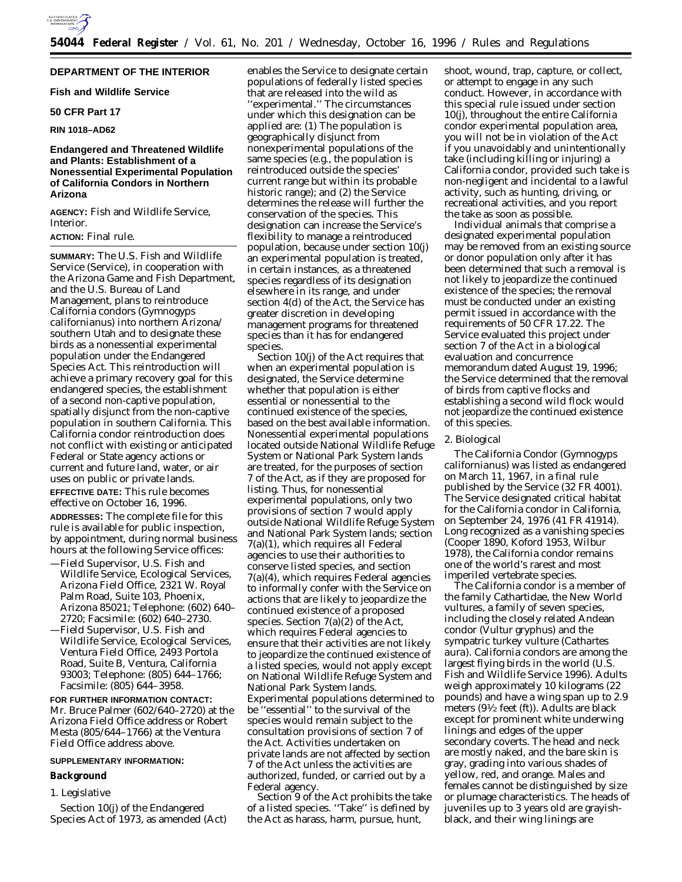# **DEPARTMENT OF THE INTERIOR**

# **Fish and Wildlife Service**

# **50 CFR Part 17**

# **RIN 1018–AD62**

# **Endangered and Threatened Wildlife and Plants: Establishment of a Nonessential Experimental Population of California Condors in Northern Arizona**

**AGENCY:** Fish and Wildlife Service, Interior.

# **ACTION:** Final rule.

**SUMMARY:** The U.S. Fish and Wildlife Service (Service), in cooperation with the Arizona Game and Fish Department, and the U.S. Bureau of Land Management, plans to reintroduce California condors (*Gymnogyps californianus*) into northern Arizona/ southern Utah and to designate these birds as a nonessential experimental population under the Endangered Species Act. This reintroduction will achieve a primary recovery goal for this endangered species, the establishment of a second non-captive population, spatially disjunct from the non-captive population in southern California. This California condor reintroduction does not conflict with existing or anticipated Federal or State agency actions or current and future land, water, or air uses on public or private lands.

**EFFECTIVE DATE:** This rule becomes effective on October 16, 1996. **ADDRESSES:** The complete file for this rule is available for public inspection, by appointment, during normal business hours at the following Service offices:

- —Field Supervisor, U.S. Fish and Wildlife Service, Ecological Services, Arizona Field Office, 2321 W. Royal Palm Road, Suite 103, Phoenix, Arizona 85021; Telephone: (602) 640– 2720; Facsimile: (602) 640–2730.
- —Field Supervisor, U.S. Fish and Wildlife Service, Ecological Services, Ventura Field Office, 2493 Portola Road, Suite B, Ventura, California 93003; Telephone: (805) 644–1766; Facsimile: (805) 644–3958.

**FOR FURTHER INFORMATION CONTACT:** Mr. Bruce Palmer (602/640–2720) at the Arizona Field Office address or Robert Mesta (805/644–1766) at the Ventura Field Office address above.

# **SUPPLEMENTARY INFORMATION:**

## **Background**

#### *1. Legislative*

Section 10(j) of the Endangered Species Act of 1973, as amended (Act)

enables the Service to designate certain populations of federally listed species that are released into the wild as ''experimental.'' The circumstances under which this designation can be applied are: (1) The population is geographically disjunct from nonexperimental populations of the same species (e.g., the population is reintroduced outside the species' current range but within its probable historic range); and (2) the Service determines the release will further the conservation of the species. This designation can increase the Service's flexibility to manage a reintroduced population, because under section 10(j) an experimental population is treated, in certain instances, as a threatened species regardless of its designation elsewhere in its range, and under section 4(d) of the Act, the Service has greater discretion in developing management programs for threatened species than it has for endangered species.

Section 10(j) of the Act requires that when an experimental population is designated, the Service determine whether that population is either essential or nonessential to the continued existence of the species, based on the best available information. Nonessential experimental populations located outside National Wildlife Refuge System or National Park System lands are treated, for the purposes of section 7 of the Act, as if they are proposed for listing. Thus, for nonessential experimental populations, only two provisions of section 7 would apply outside National Wildlife Refuge System and National Park System lands; section 7(a)(1), which requires all Federal agencies to use their authorities to conserve listed species, and section 7(a)(4), which requires Federal agencies to informally confer with the Service on actions that are likely to jeopardize the continued existence of a proposed species. Section 7(a)(2) of the Act, which requires Federal agencies to ensure that their activities are not likely to jeopardize the continued existence of a listed species, would not apply except on National Wildlife Refuge System and National Park System lands. Experimental populations determined to be ''essential'' to the survival of the species would remain subject to the consultation provisions of section 7 of the Act. Activities undertaken on private lands are not affected by section 7 of the Act unless the activities are authorized, funded, or carried out by a Federal agency.

Section 9 of the Act prohibits the take of a listed species. ''Take'' is defined by the Act as harass, harm, pursue, hunt,

shoot, wound, trap, capture, or collect, or attempt to engage in any such conduct. However, in accordance with this special rule issued under section 10(j), throughout the entire California condor experimental population area, you will not be in violation of the Act if you unavoidably and unintentionally take (including killing or injuring) a California condor, provided such take is non-negligent and incidental to a lawful activity, such as hunting, driving, or recreational activities, and you report the take as soon as possible.

Individual animals that comprise a designated experimental population may be removed from an existing source or donor population only after it has been determined that such a removal is not likely to jeopardize the continued existence of the species; the removal must be conducted under an existing permit issued in accordance with the requirements of 50 CFR 17.22. The Service evaluated this project under section 7 of the Act in a biological evaluation and concurrence memorandum dated August 19, 1996; the Service determined that the removal of birds from captive flocks and establishing a second wild flock would not jeopardize the continued existence of this species.

## *2. Biological*

The California Condor (*Gymnogyps californianus*) was listed as endangered on March 11, 1967, in a final rule published by the Service (32 FR 4001). The Service designated critical habitat for the California condor in California, on September 24, 1976 (41 FR 41914). Long recognized as a vanishing species (Cooper 1890, Koford 1953, Wilbur 1978), the California condor remains one of the world's rarest and most imperiled vertebrate species.

The California condor is a member of the family Cathartidae, the New World vultures, a family of seven species, including the closely related Andean condor (*Vultur gryphus*) and the sympatric turkey vulture (*Cathartes aura*). California condors are among the largest flying birds in the world (U.S. Fish and Wildlife Service 1996). Adults weigh approximately 10 kilograms (22 pounds) and have a wing span up to 2.9 meters (91⁄2 feet (ft)). Adults are black except for prominent white underwing linings and edges of the upper secondary coverts. The head and neck are mostly naked, and the bare skin is gray, grading into various shades of yellow, red, and orange. Males and females cannot be distinguished by size or plumage characteristics. The heads of juveniles up to 3 years old are grayishblack, and their wing linings are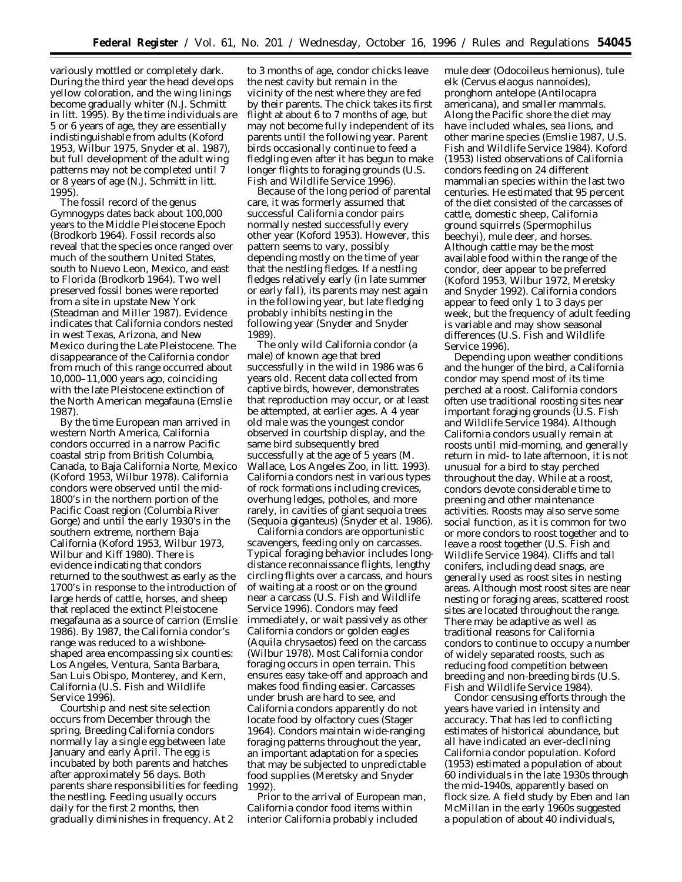variously mottled or completely dark. During the third year the head develops yellow coloration, and the wing linings become gradually whiter (N.J. Schmitt *in litt.* 1995). By the time individuals are 5 or 6 years of age, they are essentially indistinguishable from adults (Koford 1953, Wilbur 1975, Snyder *et al.* 1987), but full development of the adult wing patterns may not be completed until 7 or 8 years of age (N.J. Schmitt *in litt.* 1995).

The fossil record of the genus *Gymnogyps* dates back about 100,000 years to the Middle Pleistocene Epoch (Brodkorb 1964). Fossil records also reveal that the species once ranged over much of the southern United States, south to Nuevo Leon, Mexico, and east to Florida (Brodkorb 1964). Two well preserved fossil bones were reported from a site in upstate New York (Steadman and Miller 1987). Evidence indicates that California condors nested in west Texas, Arizona, and New Mexico during the Late Pleistocene. The disappearance of the California condor from much of this range occurred about 10,000–11,000 years ago, coinciding with the late Pleistocene extinction of the North American megafauna (Emslie 1987).

By the time European man arrived in western North America, California condors occurred in a narrow Pacific coastal strip from British Columbia, Canada, to Baja California Norte, Mexico (Koford 1953, Wilbur 1978). California condors were observed until the mid-1800's in the northern portion of the Pacific Coast region (Columbia River Gorge) and until the early 1930's in the southern extreme, northern Baja California (Koford 1953, Wilbur 1973, Wilbur and Kiff 1980). There is evidence indicating that condors returned to the southwest as early as the 1700's in response to the introduction of large herds of cattle, horses, and sheep that replaced the extinct Pleistocene megafauna as a source of carrion (Emslie 1986). By 1987, the California condor's range was reduced to a wishboneshaped area encompassing six counties: Los Angeles, Ventura, Santa Barbara, San Luis Obispo, Monterey, and Kern, California (U.S. Fish and Wildlife Service 1996).

Courtship and nest site selection occurs from December through the spring. Breeding California condors normally lay a single egg between late January and early April. The egg is incubated by both parents and hatches after approximately 56 days. Both parents share responsibilities for feeding the nestling. Feeding usually occurs daily for the first 2 months, then gradually diminishes in frequency. At 2

to 3 months of age, condor chicks leave the nest cavity but remain in the vicinity of the nest where they are fed by their parents. The chick takes its first flight at about 6 to 7 months of age, but may not become fully independent of its parents until the following year. Parent birds occasionally continue to feed a fledgling even after it has begun to make longer flights to foraging grounds (U.S. Fish and Wildlife Service 1996).

Because of the long period of parental care, it was formerly assumed that successful California condor pairs normally nested successfully every other year (Koford 1953). However, this pattern seems to vary, possibly depending mostly on the time of year that the nestling fledges. If a nestling fledges relatively early (in late summer or early fall), its parents may nest again in the following year, but late fledging probably inhibits nesting in the following year (Snyder and Snyder 1989).

The only wild California condor (a male) of known age that bred successfully in the wild in 1986 was 6 years old. Recent data collected from captive birds, however, demonstrates that reproduction may occur, or at least be attempted, at earlier ages. A 4 year old male was the youngest condor observed in courtship display, and the same bird subsequently bred successfully at the age of 5 years (M. Wallace, Los Angeles Zoo, *in litt.* 1993). California condors nest in various types of rock formations including crevices, overhung ledges, potholes, and more rarely, in cavities of giant sequoia trees (*Sequoia giganteus*) (Snyder *et al.* 1986).

California condors are opportunistic scavengers, feeding only on carcasses. Typical foraging behavior includes longdistance reconnaissance flights, lengthy circling flights over a carcass, and hours of waiting at a roost or on the ground near a carcass (U.S. Fish and Wildlife Service 1996). Condors may feed immediately, or wait passively as other California condors or golden eagles (*Aquila chrysaetos*) feed on the carcass (Wilbur 1978). Most California condor foraging occurs in open terrain. This ensures easy take-off and approach and makes food finding easier. Carcasses under brush are hard to see, and California condors apparently do not locate food by olfactory cues (Stager 1964). Condors maintain wide-ranging foraging patterns throughout the year, an important adaptation for a species that may be subjected to unpredictable food supplies (Meretsky and Snyder 1992).

Prior to the arrival of European man, California condor food items within interior California probably included

mule deer (*Odocoileus hemionus*), tule elk (*Cervus elaogus nannoides*), pronghorn antelope (*Antilocapra americana*), and smaller mammals. Along the Pacific shore the diet may have included whales, sea lions, and other marine species (Emslie 1987, U.S. Fish and Wildlife Service 1984). Koford (1953) listed observations of California condors feeding on 24 different mammalian species within the last two centuries. He estimated that 95 percent of the diet consisted of the carcasses of cattle, domestic sheep, California ground squirrels (*Spermophilus beechyi),* mule deer, and horses. Although cattle may be the most available food within the range of the condor, deer appear to be preferred (Koford 1953, Wilbur 1972, Meretsky and Snyder 1992). California condors appear to feed only 1 to 3 days per week, but the frequency of adult feeding is variable and may show seasonal differences (U.S. Fish and Wildlife Service 1996).

Depending upon weather conditions and the hunger of the bird, a California condor may spend most of its time perched at a roost. California condors often use traditional roosting sites near important foraging grounds (U.S. Fish and Wildlife Service 1984). Although California condors usually remain at roosts until mid-morning, and generally return in mid- to late afternoon, it is not unusual for a bird to stay perched throughout the day. While at a roost, condors devote considerable time to preening and other maintenance activities. Roosts may also serve some social function, as it is common for two or more condors to roost together and to leave a roost together (U.S. Fish and Wildlife Service 1984). Cliffs and tall conifers, including dead snags, are generally used as roost sites in nesting areas. Although most roost sites are near nesting or foraging areas, scattered roost sites are located throughout the range. There may be adaptive as well as traditional reasons for California condors to continue to occupy a number of widely separated roosts, such as reducing food competition between breeding and non-breeding birds (U.S. Fish and Wildlife Service 1984).

Condor censusing efforts through the years have varied in intensity and accuracy. That has led to conflicting estimates of historical abundance, but all have indicated an ever-declining California condor population. Koford (1953) estimated a population of about 60 individuals in the late 1930s through the mid-1940s, apparently based on flock size. A field study by Eben and Ian McMillan in the early 1960s suggested a population of about 40 individuals,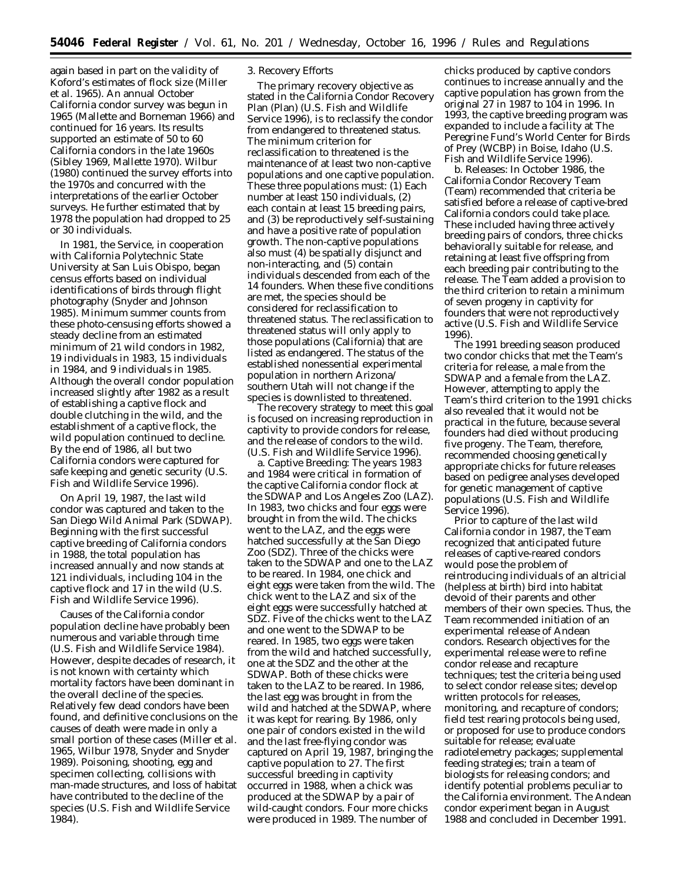again based in part on the validity of Koford's estimates of flock size (Miller *et al*. 1965). An annual October California condor survey was begun in 1965 (Mallette and Borneman 1966) and continued for 16 years. Its results supported an estimate of 50 to 60 California condors in the late 1960s (Sibley 1969, Mallette 1970). Wilbur (1980) continued the survey efforts into the 1970s and concurred with the interpretations of the earlier October surveys. He further estimated that by 1978 the population had dropped to 25 or 30 individuals.

In 1981, the Service, in cooperation with California Polytechnic State University at San Luis Obispo, began census efforts based on individual identifications of birds through flight photography (Snyder and Johnson 1985). Minimum summer counts from these photo-censusing efforts showed a steady decline from an estimated minimum of 21 wild condors in 1982, 19 individuals in 1983, 15 individuals in 1984, and 9 individuals in 1985. Although the overall condor population increased slightly after 1982 as a result of establishing a captive flock and double clutching in the wild, and the establishment of a captive flock, the wild population continued to decline. By the end of 1986, all but two California condors were captured for safe keeping and genetic security (U.S. Fish and Wildlife Service 1996).

On April 19, 1987, the last wild condor was captured and taken to the San Diego Wild Animal Park (SDWAP). Beginning with the first successful captive breeding of California condors in 1988, the total population has increased annually and now stands at 121 individuals, including 104 in the captive flock and 17 in the wild (U.S. Fish and Wildlife Service 1996).

Causes of the California condor population decline have probably been numerous and variable through time (U.S. Fish and Wildlife Service 1984). However, despite decades of research, it is not known with certainty which mortality factors have been dominant in the overall decline of the species. Relatively few dead condors have been found, and definitive conclusions on the causes of death were made in only a small portion of these cases (Miller *et al.* 1965, Wilbur 1978, Snyder and Snyder 1989). Poisoning, shooting, egg and specimen collecting, collisions with man-made structures, and loss of habitat have contributed to the decline of the species (U.S. Fish and Wildlife Service 1984).

## *3. Recovery Efforts*

The primary recovery objective as stated in the California Condor Recovery Plan (Plan) (U.S. Fish and Wildlife Service 1996), is to reclassify the condor from endangered to threatened status. The minimum criterion for reclassification to threatened is the maintenance of at least two non-captive populations and one captive population. These three populations must: (1) Each number at least 150 individuals, (2) each contain at least 15 breeding pairs, and (3) be reproductively self-sustaining and have a positive rate of population growth. The non-captive populations also must (4) be spatially disjunct and non-interacting, and (5) contain individuals descended from each of the 14 founders. When these five conditions are met, the species should be considered for reclassification to threatened status. The reclassification to threatened status will only apply to those populations (California) that are listed as endangered. The status of the established nonessential experimental population in northern Arizona/ southern Utah will not change if the species is downlisted to threatened.

The recovery strategy to meet this goal is focused on increasing reproduction in captivity to provide condors for release, and the release of condors to the wild. (U.S. Fish and Wildlife Service 1996).

a. *Captive Breeding:* The years 1983 and 1984 were critical in formation of the captive California condor flock at the SDWAP and Los Angeles Zoo (LAZ). In 1983, two chicks and four eggs were brought in from the wild. The chicks went to the LAZ, and the eggs were hatched successfully at the San Diego Zoo (SDZ). Three of the chicks were taken to the SDWAP and one to the LAZ to be reared. In 1984, one chick and eight eggs were taken from the wild. The chick went to the LAZ and six of the eight eggs were successfully hatched at SDZ. Five of the chicks went to the LAZ and one went to the SDWAP to be reared. In 1985, two eggs were taken from the wild and hatched successfully, one at the SDZ and the other at the SDWAP. Both of these chicks were taken to the LAZ to be reared. In 1986, the last egg was brought in from the wild and hatched at the SDWAP, where it was kept for rearing. By 1986, only one pair of condors existed in the wild and the last free-flying condor was captured on April 19, 1987, bringing the captive population to 27. The first successful breeding in captivity occurred in 1988, when a chick was produced at the SDWAP by a pair of wild-caught condors. Four more chicks were produced in 1989. The number of

chicks produced by captive condors continues to increase annually and the captive population has grown from the original 27 in 1987 to 104 in 1996. In 1993, the captive breeding program was expanded to include a facility at The Peregrine Fund's World Center for Birds of Prey (WCBP) in Boise, Idaho (U.S. Fish and Wildlife Service 1996).

b. *Releases:* In October 1986, the California Condor Recovery Team (Team) recommended that criteria be satisfied before a release of captive-bred California condors could take place. These included having three actively breeding pairs of condors, three chicks behaviorally suitable for release, and retaining at least five offspring from each breeding pair contributing to the release. The Team added a provision to the third criterion to retain a minimum of seven progeny in captivity for founders that were not reproductively active (U.S. Fish and Wildlife Service 1996).

The 1991 breeding season produced two condor chicks that met the Team's criteria for release, a male from the SDWAP and a female from the LAZ. However, attempting to apply the Team's third criterion to the 1991 chicks also revealed that it would not be practical in the future, because several founders had died without producing five progeny. The Team, therefore, recommended choosing genetically appropriate chicks for future releases based on pedigree analyses developed for genetic management of captive populations (U.S. Fish and Wildlife Service 1996).

Prior to capture of the last wild California condor in 1987, the Team recognized that anticipated future releases of captive-reared condors would pose the problem of reintroducing individuals of an altricial (helpless at birth) bird into habitat devoid of their parents and other members of their own species. Thus, the Team recommended initiation of an experimental release of Andean condors. Research objectives for the experimental release were to refine condor release and recapture techniques; test the criteria being used to select condor release sites; develop written protocols for releases, monitoring, and recapture of condors; field test rearing protocols being used, or proposed for use to produce condors suitable for release; evaluate radiotelemetry packages; supplemental feeding strategies; train a team of biologists for releasing condors; and identify potential problems peculiar to the California environment. The Andean condor experiment began in August 1988 and concluded in December 1991.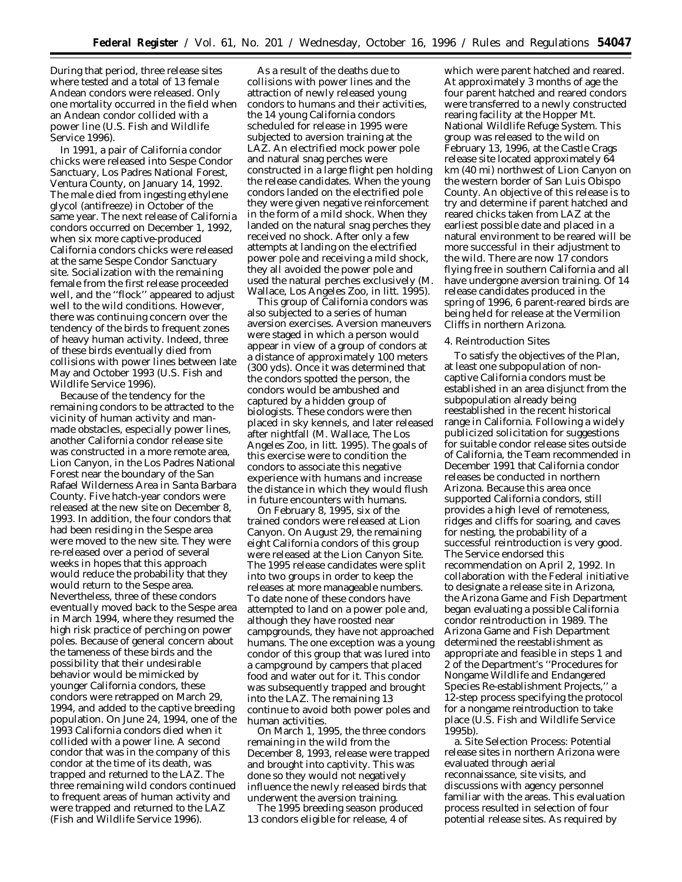During that period, three release sites where tested and a total of 13 female Andean condors were released. Only one mortality occurred in the field when an Andean condor collided with a power line (U.S. Fish and Wildlife Service 1996).

In 1991, a pair of California condor chicks were released into Sespe Condor Sanctuary, Los Padres National Forest, Ventura County, on January 14, 1992. The male died from ingesting ethylene glycol (antifreeze) in October of the same year. The next release of California condors occurred on December 1, 1992, when six more captive-produced California condors chicks were released at the same Sespe Condor Sanctuary site. Socialization with the remaining female from the first release proceeded well, and the ''flock'' appeared to adjust well to the wild conditions. However, there was continuing concern over the tendency of the birds to frequent zones of heavy human activity. Indeed, three of these birds eventually died from collisions with power lines between late May and October 1993 (U.S. Fish and Wildlife Service 1996).

Because of the tendency for the remaining condors to be attracted to the vicinity of human activity and manmade obstacles, especially power lines, another California condor release site was constructed in a more remote area, Lion Canyon, in the Los Padres National Forest near the boundary of the San Rafael Wilderness Area in Santa Barbara County. Five hatch-year condors were released at the new site on December 8, 1993. In addition, the four condors that had been residing in the Sespe area were moved to the new site. They were re-released over a period of several weeks in hopes that this approach would reduce the probability that they would return to the Sespe area. Nevertheless, three of these condors eventually moved back to the Sespe area in March 1994, where they resumed the high risk practice of perching on power poles. Because of general concern about the tameness of these birds and the possibility that their undesirable behavior would be mimicked by younger California condors, these condors were retrapped on March 29, 1994, and added to the captive breeding population. On June 24, 1994, one of the 1993 California condors died when it collided with a power line. A second condor that was in the company of this condor at the time of its death, was trapped and returned to the LAZ. The three remaining wild condors continued to frequent areas of human activity and were trapped and returned to the LAZ (Fish and Wildlife Service 1996).

As a result of the deaths due to collisions with power lines and the attraction of newly released young condors to humans and their activities, the 14 young California condors scheduled for release in 1995 were subjected to aversion training at the LAZ. An electrified mock power pole and natural snag perches were constructed in a large flight pen holding the release candidates. When the young condors landed on the electrified pole they were given negative reinforcement in the form of a mild shock. When they landed on the natural snag perches they received no shock. After only a few attempts at landing on the electrified power pole and receiving a mild shock, they all avoided the power pole and used the natural perches exclusively (M. Wallace, Los Angeles Zoo, *in litt*. 1995).

This group of California condors was also subjected to a series of human aversion exercises. Aversion maneuvers were staged in which a person would appear in view of a group of condors at a distance of approximately 100 meters (300 yds). Once it was determined that the condors spotted the person, the condors would be ambushed and captured by a hidden group of biologists. These condors were then placed in sky kennels, and later released after nightfall (M. Wallace, The Los Angeles Zoo, *in litt*. 1995). The goals of this exercise were to condition the condors to associate this negative experience with humans and increase the distance in which they would flush in future encounters with humans.

On February 8, 1995, six of the trained condors were released at Lion Canyon. On August 29, the remaining eight California condors of this group were released at the Lion Canyon Site. The 1995 release candidates were split into two groups in order to keep the releases at more manageable numbers. To date none of these condors have attempted to land on a power pole and, although they have roosted near campgrounds, they have not approached humans. The one exception was a young condor of this group that was lured into a campground by campers that placed food and water out for it. This condor was subsequently trapped and brought into the LAZ. The remaining 13 continue to avoid both power poles and human activities.

On March 1, 1995, the three condors remaining in the wild from the December 8, 1993, release were trapped and brought into captivity. This was done so they would not negatively influence the newly released birds that underwent the aversion training.

The 1995 breeding season produced 13 condors eligible for release, 4 of

which were parent hatched and reared. At approximately 3 months of age the four parent hatched and reared condors were transferred to a newly constructed rearing facility at the Hopper Mt. National Wildlife Refuge System. This group was released to the wild on February 13, 1996, at the Castle Crags release site located approximately 64 km (40 mi) northwest of Lion Canyon on the western border of San Luis Obispo County. An objective of this release is to try and determine if parent hatched and reared chicks taken from LAZ at the earliest possible date and placed in a natural environment to be reared will be more successful in their adjustment to the wild. There are now 17 condors flying free in southern California and all have undergone aversion training. Of 14 release candidates produced in the spring of 1996, 6 parent-reared birds are being held for release at the Vermilion Cliffs in northern Arizona.

### *4. Reintroduction Sites*

To satisfy the objectives of the Plan, at least one subpopulation of noncaptive California condors must be established in an area disjunct from the subpopulation already being reestablished in the recent historical range in California. Following a widely publicized solicitation for suggestions for suitable condor release sites outside of California, the Team recommended in December 1991 that California condor releases be conducted in northern Arizona. Because this area once supported California condors, still provides a high level of remoteness, ridges and cliffs for soaring, and caves for nesting, the probability of a successful reintroduction is very good. The Service endorsed this recommendation on April 2, 1992. In collaboration with the Federal initiative to designate a release site in Arizona, the Arizona Game and Fish Department began evaluating a possible California condor reintroduction in 1989. The Arizona Game and Fish Department determined the reestablishment as appropriate and feasible in steps 1 and 2 of the Department's ''Procedures for Nongame Wildlife and Endangered Species Re-establishment Projects,'' a 12-step process specifying the protocol for a nongame reintroduction to take place (U.S. Fish and Wildlife Service 1995b).

a. *Site Selection Process:* Potential release sites in northern Arizona were evaluated through aerial reconnaissance, site visits, and discussions with agency personnel familiar with the areas. This evaluation process resulted in selection of four potential release sites. As required by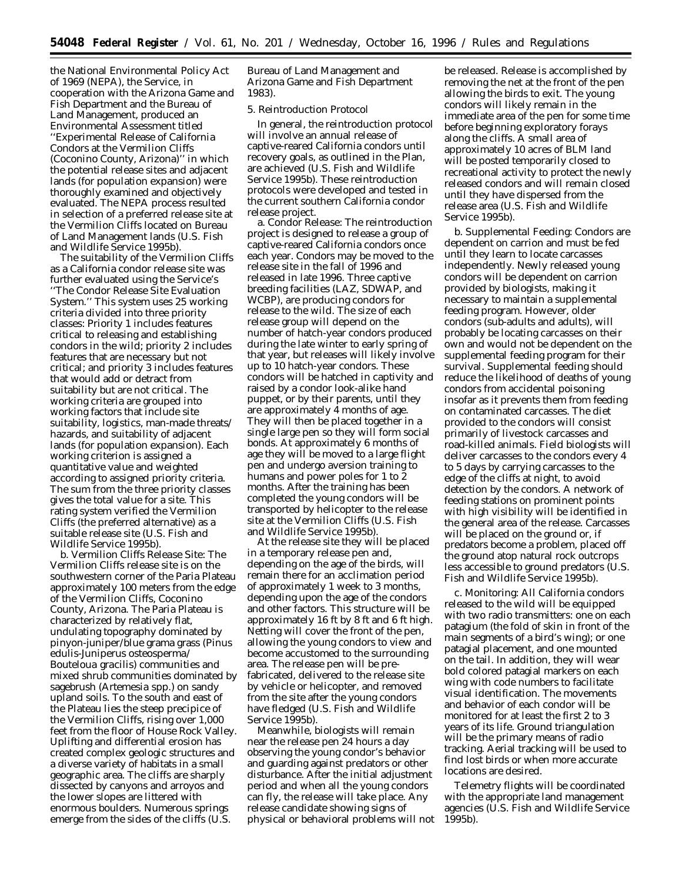the National Environmental Policy Act of 1969 (NEPA), the Service, in cooperation with the Arizona Game and Fish Department and the Bureau of Land Management, produced an Environmental Assessment titled ''Experimental Release of California Condors at the Vermilion Cliffs (Coconino County, Arizona)'' in which the potential release sites and adjacent lands (for population expansion) were thoroughly examined and objectively evaluated. The NEPA process resulted in selection of a preferred release site at the Vermilion Cliffs located on Bureau of Land Management lands (U.S. Fish and Wildlife Service 1995b).

The suitability of the Vermilion Cliffs as a California condor release site was further evaluated using the Service's ''The Condor Release Site Evaluation System.'' This system uses 25 working criteria divided into three priority classes: Priority 1 includes features critical to releasing and establishing condors in the wild; priority 2 includes features that are necessary but not critical; and priority 3 includes features that would add or detract from suitability but are not critical. The working criteria are grouped into working factors that include site suitability, logistics, man-made threats/ hazards, and suitability of adjacent lands (for population expansion). Each working criterion is assigned a quantitative value and weighted according to assigned priority criteria. The sum from the three priority classes gives the total value for a site. This rating system verified the Vermilion Cliffs (the preferred alternative) as a suitable release site (U.S. Fish and Wildlife Service 1995b).

b. *Vermilion Cliffs Release Site:* The Vermilion Cliffs release site is on the southwestern corner of the Paria Plateau approximately 100 meters from the edge of the Vermilion Cliffs, Coconino County, Arizona. The Paria Plateau is characterized by relatively flat, undulating topography dominated by pinyon-juniper/blue grama grass (*Pinus edulis-Juniperus osteosperma/ Bouteloua gracilis*) communities and mixed shrub communities dominated by sagebrush (*Artemesia* spp.) on sandy upland soils. To the south and east of the Plateau lies the steep precipice of the Vermilion Cliffs, rising over 1,000 feet from the floor of House Rock Valley. Uplifting and differential erosion has created complex geologic structures and a diverse variety of habitats in a small geographic area. The cliffs are sharply dissected by canyons and arroyos and the lower slopes are littered with enormous boulders. Numerous springs emerge from the sides of the cliffs (U.S.

Bureau of Land Management and Arizona Game and Fish Department 1983).

# *5. Reintroduction Protocol*

In general, the reintroduction protocol will involve an annual release of captive-reared California condors until recovery goals, as outlined in the Plan, are achieved (U.S. Fish and Wildlife Service 1995b). These reintroduction protocols were developed and tested in the current southern California condor release project.

a. *Condor Release:* The reintroduction project is designed to release a group of captive-reared California condors once each year. Condors may be moved to the release site in the fall of 1996 and released in late 1996. Three captive breeding facilities (LAZ, SDWAP, and WCBP), are producing condors for release to the wild. The size of each release group will depend on the number of hatch-year condors produced during the late winter to early spring of that year, but releases will likely involve up to 10 hatch-year condors. These condors will be hatched in captivity and raised by a condor look-alike hand puppet, or by their parents, until they are approximately 4 months of age. They will then be placed together in a single large pen so they will form social bonds. At approximately 6 months of age they will be moved to a large flight pen and undergo aversion training to humans and power poles for 1 to  $\overline{2}$ months. After the training has been completed the young condors will be transported by helicopter to the release site at the Vermilion Cliffs (U.S. Fish and Wildlife Service 1995b).

At the release site they will be placed in a temporary release pen and, depending on the age of the birds, will remain there for an acclimation period of approximately 1 week to 3 months, depending upon the age of the condors and other factors. This structure will be approximately 16 ft by 8 ft and 6 ft high. Netting will cover the front of the pen, allowing the young condors to view and become accustomed to the surrounding area. The release pen will be prefabricated, delivered to the release site by vehicle or helicopter, and removed from the site after the young condors have fledged (U.S. Fish and Wildlife Service 1995b).

Meanwhile, biologists will remain near the release pen 24 hours a day observing the young condor's behavior and guarding against predators or other disturbance. After the initial adjustment period and when all the young condors can fly, the release will take place. Any release candidate showing signs of physical or behavioral problems will not be released. Release is accomplished by removing the net at the front of the pen allowing the birds to exit. The young condors will likely remain in the immediate area of the pen for some time before beginning exploratory forays along the cliffs. A small area of approximately 10 acres of BLM land will be posted temporarily closed to recreational activity to protect the newly released condors and will remain closed until they have dispersed from the release area (U.S. Fish and Wildlife Service 1995b).

b. *Supplemental Feeding:* Condors are dependent on carrion and must be fed until they learn to locate carcasses independently. Newly released young condors will be dependent on carrion provided by biologists, making it necessary to maintain a supplemental feeding program. However, older condors (sub-adults and adults), will probably be locating carcasses on their own and would not be dependent on the supplemental feeding program for their survival. Supplemental feeding should reduce the likelihood of deaths of young condors from accidental poisoning insofar as it prevents them from feeding on contaminated carcasses. The diet provided to the condors will consist primarily of livestock carcasses and road-killed animals. Field biologists will deliver carcasses to the condors every 4 to 5 days by carrying carcasses to the edge of the cliffs at night, to avoid detection by the condors. A network of feeding stations on prominent points with high visibility will be identified in the general area of the release. Carcasses will be placed on the ground or, if predators become a problem, placed off the ground atop natural rock outcrops less accessible to ground predators (U.S. Fish and Wildlife Service 1995b).

c. *Monitoring:* All California condors released to the wild will be equipped with two radio transmitters: one on each patagium (the fold of skin in front of the main segments of a bird's wing); or one patagial placement, and one mounted on the tail. In addition, they will wear bold colored patagial markers on each wing with code numbers to facilitate visual identification. The movements and behavior of each condor will be monitored for at least the first 2 to 3 years of its life. Ground triangulation will be the primary means of radio tracking. Aerial tracking will be used to find lost birds or when more accurate locations are desired.

Telemetry flights will be coordinated with the appropriate land management agencies (U.S. Fish and Wildlife Service 1995b).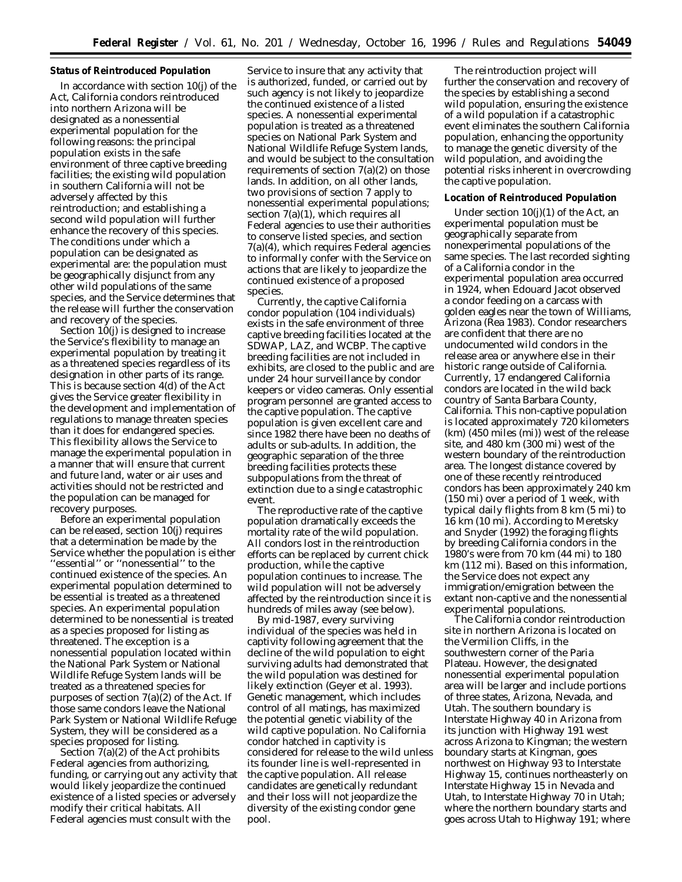## **Status of Reintroduced Population**

In accordance with section 10(j) of the Act, California condors reintroduced into northern Arizona will be designated as a nonessential experimental population for the following reasons: the principal population exists in the safe environment of three captive breeding facilities; the existing wild population in southern California will not be adversely affected by this reintroduction; and establishing a second wild population will further enhance the recovery of this species. The conditions under which a population can be designated as experimental are: the population must be geographically disjunct from any other wild populations of the same species, and the Service determines that the release will further the conservation and recovery of the species.

Section 10(j) is designed to increase the Service's flexibility to manage an experimental population by treating it as a threatened species regardless of its designation in other parts of its range. This is because section 4(d) of the Act gives the Service greater flexibility in the development and implementation of regulations to manage threaten species than it does for endangered species. This flexibility allows the Service to manage the experimental population in a manner that will ensure that current and future land, water or air uses and activities should not be restricted and the population can be managed for recovery purposes.

Before an experimental population can be released, section 10(j) requires that a determination be made by the Service whether the population is either "essential" or "nonessential" to the continued existence of the species. An experimental population determined to be essential is treated as a threatened species. An experimental population determined to be nonessential is treated as a species proposed for listing as threatened. The exception is a nonessential population located within the National Park System or National Wildlife Refuge System lands will be treated as a threatened species for purposes of section 7(a)(2) of the Act. If those same condors leave the National Park System or National Wildlife Refuge System, they will be considered as a species proposed for listing.

Section  $7(a)(2)$  of the Act prohibits Federal agencies from authorizing, funding, or carrying out any activity that would likely jeopardize the continued existence of a listed species or adversely modify their critical habitats. All Federal agencies must consult with the

Service to insure that any activity that is authorized, funded, or carried out by such agency is not likely to jeopardize the continued existence of a listed species. A nonessential experimental population is treated as a threatened species on National Park System and National Wildlife Refuge System lands, and would be subject to the consultation requirements of section  $7(a)(2)$  on those lands. In addition, on all other lands, two provisions of section 7 apply to nonessential experimental populations; section 7(a)(1), which requires all Federal agencies to use their authorities to conserve listed species, and section 7(a)(4), which requires Federal agencies to informally confer with the Service on actions that are likely to jeopardize the continued existence of a proposed species.

Currently, the captive California condor population (104 individuals) exists in the safe environment of three captive breeding facilities located at the SDWAP, LAZ, and WCBP. The captive breeding facilities are not included in exhibits, are closed to the public and are under 24 hour surveillance by condor keepers or video cameras. Only essential program personnel are granted access to the captive population. The captive population is given excellent care and since 1982 there have been no deaths of adults or sub-adults. In addition, the geographic separation of the three breeding facilities protects these subpopulations from the threat of extinction due to a single catastrophic event.

The reproductive rate of the captive population dramatically exceeds the mortality rate of the wild population. All condors lost in the reintroduction efforts can be replaced by current chick production, while the captive population continues to increase. The wild population will not be adversely affected by the reintroduction since it is hundreds of miles away (see below).

By mid-1987, every surviving individual of the species was held in captivity following agreement that the decline of the wild population to eight surviving adults had demonstrated that the wild population was destined for likely extinction (Geyer *et al.* 1993). Genetic management, which includes control of all matings, has maximized the potential genetic viability of the wild captive population. No California condor hatched in captivity is considered for release to the wild unless its founder line is well-represented in the captive population. All release candidates are genetically redundant and their loss will not jeopardize the diversity of the existing condor gene pool.

The reintroduction project will further the conservation and recovery of the species by establishing a second wild population, ensuring the existence of a wild population if a catastrophic event eliminates the southern California population, enhancing the opportunity to manage the genetic diversity of the wild population, and avoiding the potential risks inherent in overcrowding the captive population.

## **Location of Reintroduced Population**

Under section  $10(j)(1)$  of the Act, an experimental population must be geographically separate from nonexperimental populations of the same species. The last recorded sighting of a California condor in the experimental population area occurred in 1924, when Edouard Jacot observed a condor feeding on a carcass with golden eagles near the town of Williams, Arizona (Rea 1983). Condor researchers are confident that there are no undocumented wild condors in the release area or anywhere else in their historic range outside of California. Currently, 17 endangered California condors are located in the wild back country of Santa Barbara County, California. This non-captive population is located approximately 720 kilometers (km) (450 miles (mi)) west of the release site, and 480 km (300 mi) west of the western boundary of the reintroduction area. The longest distance covered by one of these recently reintroduced condors has been approximately 240 km (150 mi) over a period of 1 week, with typical daily flights from 8 km (5 mi) to 16 km (10 mi). According to Meretsky and Snyder (1992) the foraging flights by breeding California condors in the 1980's were from 70 km (44 mi) to 180 km (112 mi). Based on this information, the Service does not expect any immigration/emigration between the extant non-captive and the nonessential experimental populations.

The California condor reintroduction site in northern Arizona is located on the Vermilion Cliffs, in the southwestern corner of the Paria Plateau. However, the designated nonessential experimental population area will be larger and include portions of three states, Arizona, Nevada, and Utah. The southern boundary is Interstate Highway 40 in Arizona from its junction with Highway 191 west across Arizona to Kingman; the western boundary starts at Kingman, goes northwest on Highway 93 to Interstate Highway 15, continues northeasterly on Interstate Highway 15 in Nevada and Utah, to Interstate Highway 70 in Utah; where the northern boundary starts and goes across Utah to Highway 191; where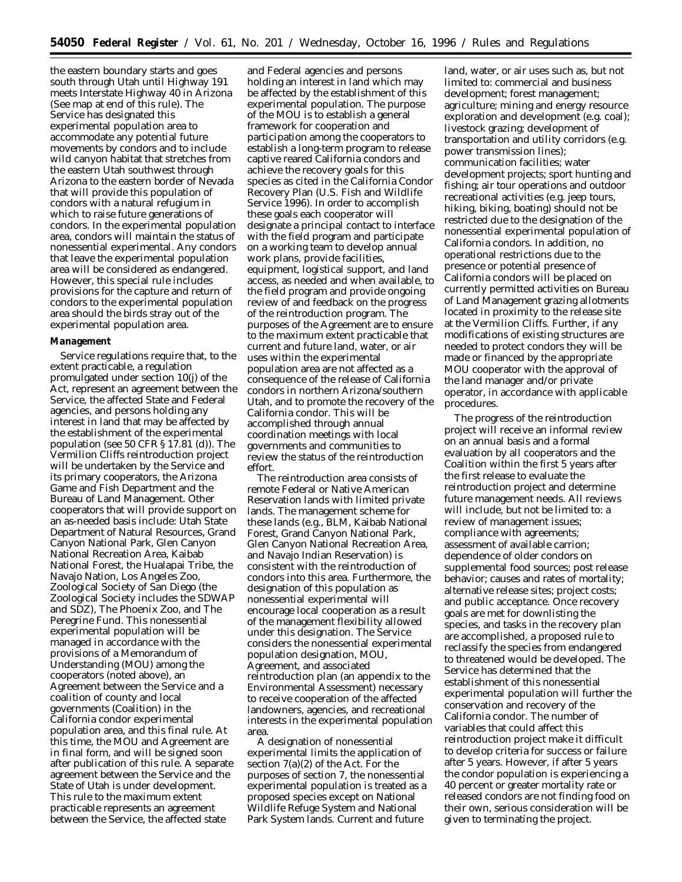the eastern boundary starts and goes south through Utah until Highway 191 meets Interstate Highway 40 in Arizona (See map at end of this rule). The Service has designated this experimental population area to accommodate any potential future movements by condors and to include wild canyon habitat that stretches from the eastern Utah southwest through Arizona to the eastern border of Nevada that will provide this population of condors with a natural refugium in which to raise future generations of condors. In the experimental population area, condors will maintain the status of nonessential experimental. Any condors that leave the experimental population area will be considered as endangered. However, this special rule includes provisions for the capture and return of condors to the experimental population area should the birds stray out of the experimental population area.

#### **Management**

Service regulations require that, to the extent practicable, a regulation promulgated under section 10(j) of the Act, represent an agreement between the Service, the affected State and Federal agencies, and persons holding any interest in land that may be affected by the establishment of the experimental population (see 50 CFR § 17.81 (d)). The Vermilion Cliffs reintroduction project will be undertaken by the Service and its primary cooperators, the Arizona Game and Fish Department and the Bureau of Land Management. Other cooperators that will provide support on an as-needed basis include: Utah State Department of Natural Resources, Grand Canyon National Park, Glen Canyon National Recreation Area, Kaibab National Forest, the Hualapai Tribe, the Navajo Nation, Los Angeles Zoo, Zoological Society of San Diego (the Zoological Society includes the SDWAP and SDZ), The Phoenix Zoo, and The Peregrine Fund. This nonessential experimental population will be managed in accordance with the provisions of a Memorandum of Understanding (MOU) among the cooperators (noted above), an Agreement between the Service and a coalition of county and local governments (Coalition) in the California condor experimental population area, and this final rule. At this time, the MOU and Agreement are in final form, and will be signed soon after publication of this rule. A separate agreement between the Service and the State of Utah is under development. This rule to the maximum extent practicable represents an agreement between the Service, the affected state

and Federal agencies and persons holding an interest in land which may be affected by the establishment of this experimental population. The purpose of the MOU is to establish a general framework for cooperation and participation among the cooperators to establish a long-term program to release captive reared California condors and achieve the recovery goals for this species as cited in the California Condor Recovery Plan (U.S. Fish and Wildlife Service 1996). In order to accomplish these goals each cooperator will designate a principal contact to interface with the field program and participate on a working team to develop annual work plans, provide facilities, equipment, logistical support, and land access, as needed and when available, to the field program and provide ongoing review of and feedback on the progress of the reintroduction program. The purposes of the Agreement are to ensure to the maximum extent practicable that current and future land, water, or air uses within the experimental population area are not affected as a consequence of the release of California condors in northern Arizona/southern Utah, and to promote the recovery of the California condor. This will be accomplished through annual coordination meetings with local governments and communities to review the status of the reintroduction effort.

The reintroduction area consists of remote Federal or Native American Reservation lands with limited private lands. The management scheme for these lands (e.g., BLM, Kaibab National Forest, Grand Canyon National Park, Glen Canyon National Recreation Area, and Navajo Indian Reservation) is consistent with the reintroduction of condors into this area. Furthermore, the designation of this population as nonessential experimental will encourage local cooperation as a result of the management flexibility allowed under this designation. The Service considers the nonessential experimental population designation, MOU, Agreement, and associated reintroduction plan (an appendix to the Environmental Assessment) necessary to receive cooperation of the affected landowners, agencies, and recreational interests in the experimental population area.

A designation of nonessential experimental limits the application of section 7(a)(2) of the Act. For the purposes of section 7, the nonessential experimental population is treated as a proposed species except on National Wildlife Refuge System and National Park System lands. Current and future

land, water, or air uses such as, but not limited to: commercial and business development; forest management; agriculture; mining and energy resource exploration and development (e.g. coal); livestock grazing; development of transportation and utility corridors (e.g. power transmission lines); communication facilities; water development projects; sport hunting and fishing; air tour operations and outdoor recreational activities (e.g. jeep tours, hiking, biking, boating) should not be restricted due to the designation of the nonessential experimental population of California condors. In addition, no operational restrictions due to the presence or potential presence of California condors will be placed on currently permitted activities on Bureau of Land Management grazing allotments located in proximity to the release site at the Vermilion Cliffs. Further, if any modifications of existing structures are needed to protect condors they will be made or financed by the appropriate MOU cooperator with the approval of the land manager and/or private operator, in accordance with applicable procedures.

The progress of the reintroduction project will receive an informal review on an annual basis and a formal evaluation by all cooperators and the Coalition within the first 5 years after the first release to evaluate the reintroduction project and determine future management needs. All reviews will include, but not be limited to: a review of management issues; compliance with agreements; assessment of available carrion; dependence of older condors on supplemental food sources; post release behavior; causes and rates of mortality; alternative release sites; project costs; and public acceptance. Once recovery goals are met for downlisting the species, and tasks in the recovery plan are accomplished, a proposed rule to reclassify the species from endangered to threatened would be developed. The Service has determined that the establishment of this nonessential experimental population will further the conservation and recovery of the California condor. The number of variables that could affect this reintroduction project make it difficult to develop criteria for success or failure after 5 years. However, if after 5 years the condor population is experiencing a 40 percent or greater mortality rate or released condors are not finding food on their own, serious consideration will be given to terminating the project.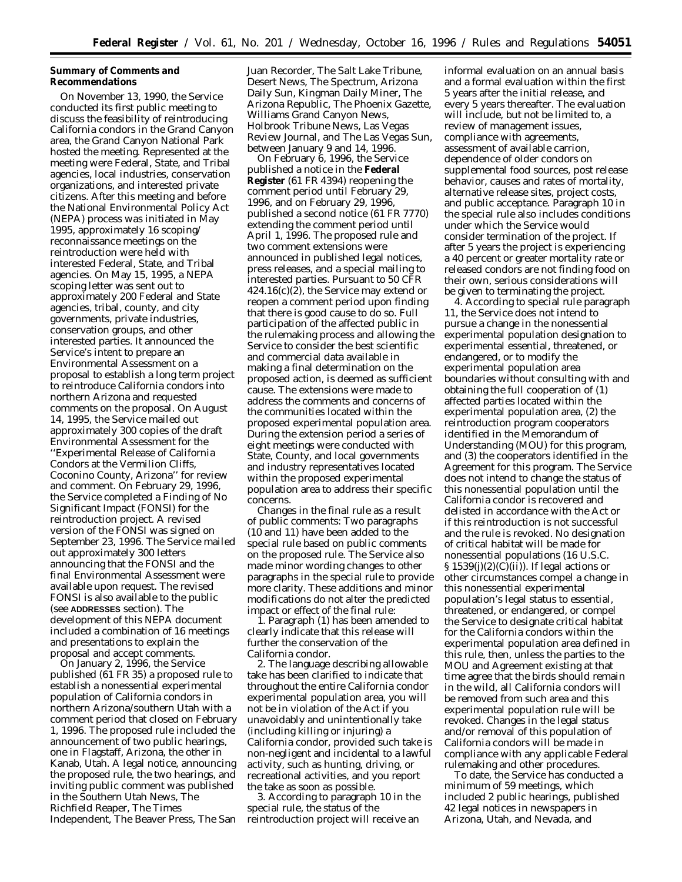# **Summary of Comments and Recommendations**

On November 13, 1990, the Service conducted its first public meeting to discuss the feasibility of reintroducing California condors in the Grand Canyon area, the Grand Canyon National Park hosted the meeting. Represented at the meeting were Federal, State, and Tribal agencies, local industries, conservation organizations, and interested private citizens. After this meeting and before the National Environmental Policy Act (NEPA) process was initiated in May 1995, approximately 16 scoping/ reconnaissance meetings on the reintroduction were held with interested Federal, State, and Tribal agencies. On May 15, 1995, a NEPA scoping letter was sent out to approximately 200 Federal and State agencies, tribal, county, and city governments, private industries, conservation groups, and other interested parties. It announced the Service's intent to prepare an Environmental Assessment on a proposal to establish a long term project to reintroduce California condors into northern Arizona and requested comments on the proposal. On August 14, 1995, the Service mailed out approximately 300 copies of the draft Environmental Assessment for the ''Experimental Release of California Condors at the Vermilion Cliffs, Coconino County, Arizona'' for review and comment. On February 29, 1996, the Service completed a Finding of No Significant Impact (FONSI) for the reintroduction project. A revised version of the FONSI was signed on September 23, 1996. The Service mailed out approximately 300 letters announcing that the FONSI and the final Environmental Assessment were available upon request. The revised FONSI is also available to the public (see **ADDRESSES** section). The development of this NEPA document included a combination of 16 meetings and presentations to explain the proposal and accept comments.

On January 2, 1996, the Service published (61 FR 35) a proposed rule to establish a nonessential experimental population of California condors in northern Arizona/southern Utah with a comment period that closed on February 1, 1996. The proposed rule included the announcement of two public hearings, one in Flagstaff, Arizona, the other in Kanab, Utah. A legal notice, announcing the proposed rule, the two hearings, and inviting public comment was published in the Southern Utah News, The Richfield Reaper, The Times Independent, The Beaver Press, The San

Juan Recorder, The Salt Lake Tribune, Desert News, The Spectrum, Arizona Daily Sun, Kingman Daily Miner, The Arizona Republic, The Phoenix Gazette, Williams Grand Canyon News, Holbrook Tribune News, Las Vegas Review Journal, and The Las Vegas Sun, between January 9 and 14, 1996.

On February 6, 1996, the Service published a notice in the **Federal Register** (61 FR 4394) reopening the comment period until February 29, 1996, and on February 29, 1996, published a second notice (61 FR 7770) extending the comment period until April 1, 1996. The proposed rule and two comment extensions were announced in published legal notices, press releases, and a special mailing to interested parties. Pursuant to 50 CFR 424.16(c)(2), the Service may extend or reopen a comment period upon finding that there is good cause to do so. Full participation of the affected public in the rulemaking process and allowing the Service to consider the best scientific and commercial data available in making a final determination on the proposed action, is deemed as sufficient cause. The extensions were made to address the comments and concerns of the communities located within the proposed experimental population area. During the extension period a series of eight meetings were conducted with State, County, and local governments and industry representatives located within the proposed experimental population area to address their specific concerns.

*Changes in the final rule as a result of public comments:* Two paragraphs (10 and 11) have been added to the special rule based on public comments on the proposed rule. The Service also made minor wording changes to other paragraphs in the special rule to provide more clarity. These additions and minor modifications do not alter the predicted impact or effect of the final rule:

1. Paragraph (1) has been amended to clearly indicate that this release will further the conservation of the California condor.

2. The language describing allowable take has been clarified to indicate that throughout the entire California condor experimental population area, you will not be in violation of the Act if you unavoidably and unintentionally take (including killing or injuring) a California condor, provided such take is non-negligent and incidental to a lawful activity, such as hunting, driving, or recreational activities, and you report the take as soon as possible.

3. According to paragraph 10 in the special rule, the status of the reintroduction project will receive an

informal evaluation on an annual basis and a formal evaluation within the first 5 years after the initial release, and every 5 years thereafter. The evaluation will include, but not be limited to, a review of management issues, compliance with agreements, assessment of available carrion, dependence of older condors on supplemental food sources, post release behavior, causes and rates of mortality, alternative release sites, project costs, and public acceptance. Paragraph 10 in the special rule also includes conditions under which the Service would consider termination of the project. If after 5 years the project is experiencing a 40 percent or greater mortality rate or released condors are not finding food on their own, serious considerations will be given to terminating the project.

4. According to special rule paragraph 11, the Service does not intend to pursue a change in the nonessential experimental population designation to experimental essential, threatened, or endangered, or to modify the experimental population area boundaries without consulting with and obtaining the full cooperation of (1) affected parties located within the experimental population area, (2) the reintroduction program cooperators identified in the Memorandum of Understanding (MOU) for this program, and (3) the cooperators identified in the Agreement for this program. The Service does not intend to change the status of this nonessential population until the California condor is recovered and delisted in accordance with the Act or if this reintroduction is not successful and the rule is revoked. No designation of critical habitat will be made for nonessential populations (16 U.S.C.  $\S 1539(j)(2)(C(ii))$ . If legal actions or other circumstances compel a change in this nonessential experimental population's legal status to essential, threatened, or endangered, or compel the Service to designate critical habitat for the California condors within the experimental population area defined in this rule, then, unless the parties to the MOU and Agreement existing at that time agree that the birds should remain in the wild, all California condors will be removed from such area and this experimental population rule will be revoked. Changes in the legal status and/or removal of this population of California condors will be made in compliance with any applicable Federal rulemaking and other procedures.

To date, the Service has conducted a minimum of 59 meetings, which included 2 public hearings, published 42 legal notices in newspapers in Arizona, Utah, and Nevada, and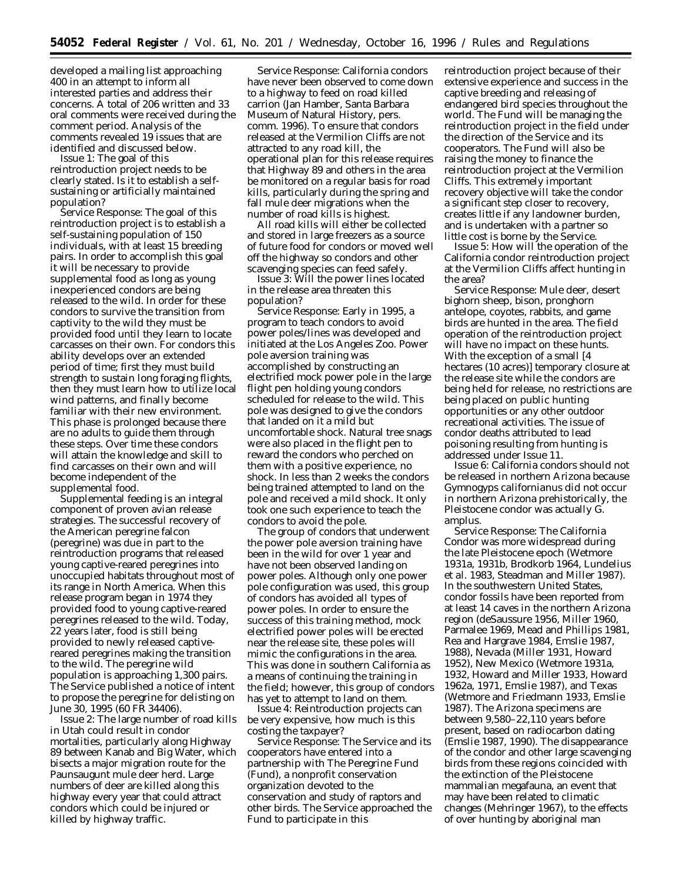developed a mailing list approaching 400 in an attempt to inform all interested parties and address their concerns. A total of 206 written and 33 oral comments were received during the comment period. Analysis of the comments revealed 19 issues that are identified and discussed below.

*Issue 1:* The goal of this reintroduction project needs to be clearly stated. Is it to establish a selfsustaining or artificially maintained population?

*Service Response:* The goal of this reintroduction project is to establish a self-sustaining population of 150 individuals, with at least 15 breeding pairs. In order to accomplish this goal it will be necessary to provide supplemental food as long as young inexperienced condors are being released to the wild. In order for these condors to survive the transition from captivity to the wild they must be provided food until they learn to locate carcasses on their own. For condors this ability develops over an extended period of time; first they must build strength to sustain long foraging flights, then they must learn how to utilize local wind patterns, and finally become familiar with their new environment. This phase is prolonged because there are no adults to guide them through these steps. Over time these condors will attain the knowledge and skill to find carcasses on their own and will become independent of the supplemental food.

Supplemental feeding is an integral component of proven avian release strategies. The successful recovery of the American peregrine falcon (peregrine) was due in part to the reintroduction programs that released young captive-reared peregrines into unoccupied habitats throughout most of its range in North America. When this release program began in 1974 they provided food to young captive-reared peregrines released to the wild. Today, 22 years later, food is still being provided to newly released captivereared peregrines making the transition to the wild. The peregrine wild population is approaching 1,300 pairs. The Service published a notice of intent to propose the peregrine for delisting on June 30, 1995 (60 FR 34406).

*Issue 2:* The large number of road kills in Utah could result in condor mortalities, particularly along Highway 89 between Kanab and Big Water, which bisects a major migration route for the Paunsaugunt mule deer herd. Large numbers of deer are killed along this highway every year that could attract condors which could be injured or killed by highway traffic.

*Service Response:* California condors have never been observed to come down to a highway to feed on road killed carrion (Jan Hamber, Santa Barbara Museum of Natural History, pers. comm. 1996). To ensure that condors released at the Vermilion Cliffs are not attracted to any road kill, the operational plan for this release requires that Highway 89 and others in the area be monitored on a regular basis for road kills, particularly during the spring and fall mule deer migrations when the number of road kills is highest.

All road kills will either be collected and stored in large freezers as a source of future food for condors or moved well off the highway so condors and other scavenging species can feed safely.

*Issue 3:* Will the power lines located in the release area threaten this population?

*Service Response:* Early in 1995, a program to teach condors to avoid power poles/lines was developed and initiated at the Los Angeles Zoo. Power pole aversion training was accomplished by constructing an electrified mock power pole in the large flight pen holding young condors scheduled for release to the wild. This pole was designed to give the condors that landed on it a mild but uncomfortable shock. Natural tree snags were also placed in the flight pen to reward the condors who perched on them with a positive experience, no shock. In less than 2 weeks the condors being trained attempted to land on the pole and received a mild shock. It only took one such experience to teach the condors to avoid the pole.

The group of condors that underwent the power pole aversion training have been in the wild for over 1 year and have not been observed landing on power poles. Although only one power pole configuration was used, this group of condors has avoided all types of power poles. In order to ensure the success of this training method, mock electrified power poles will be erected near the release site, these poles will mimic the configurations in the area. This was done in southern California as a means of continuing the training in the field; however, this group of condors has yet to attempt to land on them.

*Issue 4:* Reintroduction projects can be very expensive, how much is this costing the taxpayer?

*Service Response:* The Service and its cooperators have entered into a partnership with The Peregrine Fund (Fund), a nonprofit conservation organization devoted to the conservation and study of raptors and other birds. The Service approached the Fund to participate in this

reintroduction project because of their extensive experience and success in the captive breeding and releasing of endangered bird species throughout the world. The Fund will be managing the reintroduction project in the field under the direction of the Service and its cooperators. The Fund will also be raising the money to finance the reintroduction project at the Vermilion Cliffs. This extremely important recovery objective will take the condor a significant step closer to recovery, creates little if any landowner burden, and is undertaken with a partner so little cost is borne by the Service.

*Issue 5:* How will the operation of the California condor reintroduction project at the Vermilion Cliffs affect hunting in the area?

*Service Response:* Mule deer, desert bighorn sheep, bison, pronghorn antelope, coyotes, rabbits, and game birds are hunted in the area. The field operation of the reintroduction project will have no impact on these hunts. With the exception of a small [4 hectares (10 acres)] temporary closure at the release site while the condors are being held for release, no restrictions are being placed on public hunting opportunities or any other outdoor recreational activities. The issue of condor deaths attributed to lead poisoning resulting from hunting is addressed under Issue 11.

*Issue 6:* California condors should not be released in northern Arizona because *Gymnogyps californianus* did not occur in northern Arizona prehistorically, the Pleistocene condor was actually *G. amplus.*

*Service Response:* The California Condor was more widespread during the late Pleistocene epoch (Wetmore 1931a, 1931b, Brodkorb 1964, Lundelius *et al.* 1983, Steadman and Miller 1987). In the southwestern United States, condor fossils have been reported from at least 14 caves in the northern Arizona region (deSaussure 1956, Miller 1960, Parmalee 1969, Mead and Phillips 1981, Rea and Hargrave 1984, Emslie 1987, 1988), Nevada (Miller 1931, Howard 1952), New Mexico (Wetmore 1931a, 1932, Howard and Miller 1933, Howard 1962a, 1971, Emslie 1987), and Texas (Wetmore and Friedmann 1933, Emslie 1987). The Arizona specimens are between 9,580–22,110 years before present, based on radiocarbon dating (Emslie 1987, 1990). The disappearance of the condor and other large scavenging birds from these regions coincided with the extinction of the Pleistocene mammalian megafauna, an event that may have been related to climatic changes (Mehringer 1967), to the effects of over hunting by aboriginal man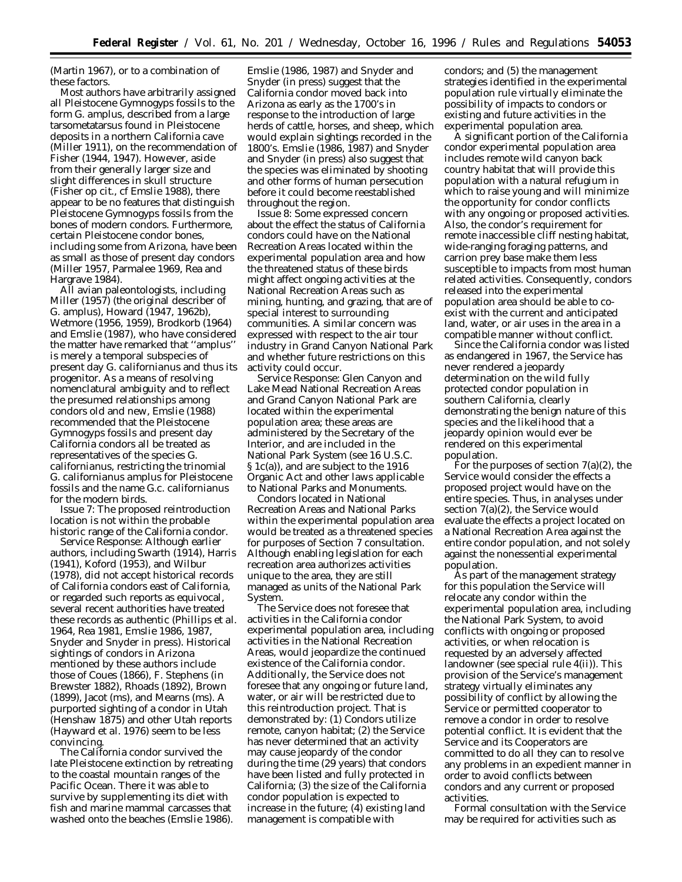(Martin 1967), or to a combination of these factors.

Most authors have arbitrarily assigned all Pleistocene *Gymnogyps* fossils to the form *G. amplus,* described from a large tarsometatarsus found in Pleistocene deposits in a northern California cave (Miller 1911), on the recommendation of Fisher (1944, 1947). However, aside from their generally larger size and slight differences in skull structure (Fisher op cit., cf Emslie 1988), there appear to be no features that distinguish Pleistocene *Gymnogyps* fossils from the bones of modern condors. Furthermore, certain Pleistocene condor bones, including some from Arizona, have been as small as those of present day condors (Miller 1957, Parmalee 1969, Rea and Hargrave 1984).

All avian paleontologists, including Miller (1957) (the original describer of *G. amplus*), Howard (1947, 1962b), Wetmore (1956, 1959), Brodkorb (1964) and Emslie (1987), who have considered the matter have remarked that ''amplus'' is merely a temporal subspecies of present day *G. californianus* and thus its progenitor. As a means of resolving nomenclatural ambiguity and to reflect the presumed relationships among condors old and new, Emslie (1988) recommended that the Pleistocene Gymnogyps fossils and present day California condors all be treated as representatives of the species *G. californianus,* restricting the trinomial *G. californianus amplus* for Pleistocene fossils and the name *G.c. californianus* for the modern birds.

*Issue 7*: The proposed reintroduction location is not within the probable historic range of the California condor.

*Service Response:* Although earlier authors, including Swarth (1914), Harris (1941), Koford (1953), and Wilbur (1978), did not accept historical records of California condors east of California, or regarded such reports as equivocal, several recent authorities have treated these records as authentic (Phillips *et al*. 1964, Rea 1981, Emslie 1986, 1987, Snyder and Snyder in press). Historical sightings of condors in Arizona mentioned by these authors include those of Coues (1866), F. Stephens (in Brewster 1882), Rhoads (1892), Brown (1899), Jacot (ms), and Mearns (ms). A purported sighting of a condor in Utah (Henshaw 1875) and other Utah reports (Hayward *et al*. 1976) seem to be less convincing.

The California condor survived the late Pleistocene extinction by retreating to the coastal mountain ranges of the Pacific Ocean. There it was able to survive by supplementing its diet with fish and marine mammal carcasses that washed onto the beaches (Emslie 1986).

Emslie (1986, 1987) and Snyder and Snyder (in press) suggest that the California condor moved back into Arizona as early as the 1700's in response to the introduction of large herds of cattle, horses, and sheep, which would explain sightings recorded in the 1800's. Emslie (1986, 1987) and Snyder and Snyder (in press) also suggest that the species was eliminated by shooting and other forms of human persecution before it could become reestablished throughout the region.

*Issue 8:* Some expressed concern about the effect the status of California condors could have on the National Recreation Areas located within the experimental population area and how the threatened status of these birds might affect ongoing activities at the National Recreation Areas such as mining, hunting, and grazing, that are of special interest to surrounding communities. A similar concern was expressed with respect to the air tour industry in Grand Canyon National Park and whether future restrictions on this activity could occur.

*Service Response:* Glen Canyon and Lake Mead National Recreation Areas and Grand Canyon National Park are located within the experimental population area; these areas are administered by the Secretary of the Interior, and are included in the National Park System (see 16 U.S.C. § 1c(a)), and are subject to the 1916 Organic Act and other laws applicable to National Parks and Monuments.

Condors located in National Recreation Areas and National Parks within the experimental population area would be treated as a threatened species for purposes of Section 7 consultation. Although enabling legislation for each recreation area authorizes activities unique to the area, they are still managed as units of the National Park System.

The Service does not foresee that activities in the California condor experimental population area, including activities in the National Recreation Areas, would jeopardize the continued existence of the California condor. Additionally, the Service does not foresee that any ongoing or future land, water, or air will be restricted due to this reintroduction project. That is demonstrated by: (1) Condors utilize remote, canyon habitat; (2) the Service has never determined that an activity may cause jeopardy of the condor during the time (29 years) that condors have been listed and fully protected in California; (3) the size of the California condor population is expected to increase in the future; (4) existing land management is compatible with

condors; and (5) the management strategies identified in the experimental population rule virtually eliminate the possibility of impacts to condors or existing and future activities in the experimental population area.

A significant portion of the California condor experimental population area includes remote wild canyon back country habitat that will provide this population with a natural refugium in which to raise young and will minimize the opportunity for condor conflicts with any ongoing or proposed activities. Also, the condor's requirement for remote inaccessible cliff nesting habitat, wide-ranging foraging patterns, and carrion prey base make them less susceptible to impacts from most human related activities. Consequently, condors released into the experimental population area should be able to coexist with the current and anticipated land, water, or air uses in the area in a compatible manner without conflict.

Since the California condor was listed as endangered in 1967, the Service has never rendered a jeopardy determination on the wild fully protected condor population in southern California, clearly demonstrating the benign nature of this species and the likelihood that a jeopardy opinion would ever be rendered on this experimental population.

For the purposes of section  $7(a)(2)$ , the Service would consider the effects a proposed project would have on the entire species. Thus, in analyses under section 7(a)(2), the Service would evaluate the effects a project located on a National Recreation Area against the entire condor population, and not solely against the nonessential experimental population.

As part of the management strategy for this population the Service will relocate any condor within the experimental population area, including the National Park System, to avoid conflicts with ongoing or proposed activities, or when relocation is requested by an adversely affected landowner (see special rule 4(ii)). This provision of the Service's management strategy virtually eliminates any possibility of conflict by allowing the Service or permitted cooperator to remove a condor in order to resolve potential conflict. It is evident that the Service and its Cooperators are committed to do all they can to resolve any problems in an expedient manner in order to avoid conflicts between condors and any current or proposed activities.

Formal consultation with the Service may be required for activities such as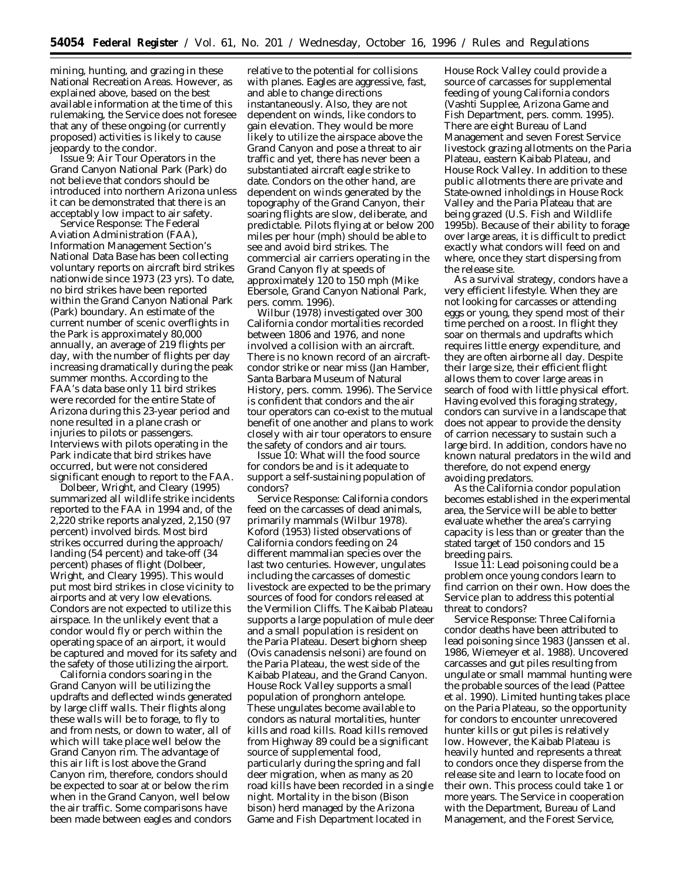mining, hunting, and grazing in these National Recreation Areas. However, as explained above, based on the best available information at the time of this rulemaking, the Service does not foresee that any of these ongoing (or currently proposed) activities is likely to cause jeopardy to the condor.

*Issue 9*: Air Tour Operators in the Grand Canyon National Park (Park) do not believe that condors should be introduced into northern Arizona unless it can be demonstrated that there is an acceptably low impact to air safety.

*Service Response*: The Federal Aviation Administration (FAA), Information Management Section's National Data Base has been collecting voluntary reports on aircraft bird strikes nationwide since 1973 (23 yrs). To date, no bird strikes have been reported within the Grand Canyon National Park (Park) boundary. An estimate of the current number of scenic overflights in the Park is approximately 80,000 annually, an average of 219 flights per day, with the number of flights per day increasing dramatically during the peak summer months. According to the FAA's data base only 11 bird strikes were recorded for the entire State of Arizona during this 23-year period and none resulted in a plane crash or injuries to pilots or passengers. Interviews with pilots operating in the Park indicate that bird strikes have occurred, but were not considered significant enough to report to the FAA.

Dolbeer, Wright, and Cleary (1995) summarized all wildlife strike incidents reported to the FAA in 1994 and, of the 2,220 strike reports analyzed, 2,150 (97 percent) involved birds. Most bird strikes occurred during the approach/ landing (54 percent) and take-off (34 percent) phases of flight (Dolbeer, Wright, and Cleary 1995). This would put most bird strikes in close vicinity to airports and at very low elevations. Condors are not expected to utilize this airspace. In the unlikely event that a condor would fly or perch within the operating space of an airport, it would be captured and moved for its safety and the safety of those utilizing the airport.

California condors soaring in the Grand Canyon will be utilizing the updrafts and deflected winds generated by large cliff walls. Their flights along these walls will be to forage, to fly to and from nests, or down to water, all of which will take place well below the Grand Canyon rim. The advantage of this air lift is lost above the Grand Canyon rim, therefore, condors should be expected to soar at or below the rim when in the Grand Canyon, well below the air traffic. Some comparisons have been made between eagles and condors

relative to the potential for collisions with planes. Eagles are aggressive, fast, and able to change directions instantaneously. Also, they are not dependent on winds, like condors to gain elevation. They would be more likely to utilize the airspace above the Grand Canyon and pose a threat to air traffic and yet, there has never been a substantiated aircraft eagle strike to date. Condors on the other hand, are dependent on winds generated by the topography of the Grand Canyon, their soaring flights are slow, deliberate, and predictable. Pilots flying at or below 200 miles per hour (mph) should be able to see and avoid bird strikes. The commercial air carriers operating in the Grand Canyon fly at speeds of approximately 120 to 150 mph (Mike Ebersole, Grand Canyon National Park, pers. comm. 1996).

Wilbur (1978) investigated over 300 California condor mortalities recorded between 1806 and 1976, and none involved a collision with an aircraft. There is no known record of an aircraftcondor strike or near miss (Jan Hamber, Santa Barbara Museum of Natural History, pers. comm. 1996). The Service is confident that condors and the air tour operators can co-exist to the mutual benefit of one another and plans to work closely with air tour operators to ensure the safety of condors and air tours.

*Issue 10*: What will the food source for condors be and is it adequate to support a self-sustaining population of condors?

*Service Response*: California condors feed on the carcasses of dead animals, primarily mammals (Wilbur 1978). Koford (1953) listed observations of California condors feeding on 24 different mammalian species over the last two centuries. However, ungulates including the carcasses of domestic livestock are expected to be the primary sources of food for condors released at the Vermilion Cliffs. The Kaibab Plateau supports a large population of mule deer and a small population is resident on the Paria Plateau. Desert bighorn sheep (*Ovis canadensis nelsoni*) are found on the Paria Plateau, the west side of the Kaibab Plateau, and the Grand Canyon. House Rock Valley supports a small population of pronghorn antelope. These ungulates become available to condors as natural mortalities, hunter kills and road kills. Road kills removed from Highway 89 could be a significant source of supplemental food, particularly during the spring and fall deer migration, when as many as 20 road kills have been recorded in a single night. Mortality in the bison (*Bison bison*) herd managed by the Arizona Game and Fish Department located in

House Rock Valley could provide a source of carcasses for supplemental feeding of young California condors (Vashti Supplee, Arizona Game and Fish Department, pers. comm. 1995). There are eight Bureau of Land Management and seven Forest Service livestock grazing allotments on the Paria Plateau, eastern Kaibab Plateau, and House Rock Valley. In addition to these public allotments there are private and State-owned inholdings in House Rock Valley and the Paria Plateau that are being grazed (U.S. Fish and Wildlife 1995b). Because of their ability to forage over large areas, it is difficult to predict exactly what condors will feed on and where, once they start dispersing from the release site.

As a survival strategy, condors have a very efficient lifestyle. When they are not looking for carcasses or attending eggs or young, they spend most of their time perched on a roost. In flight they soar on thermals and updrafts which requires little energy expenditure, and they are often airborne all day. Despite their large size, their efficient flight allows them to cover large areas in search of food with little physical effort. Having evolved this foraging strategy, condors can survive in a landscape that does not appear to provide the density of carrion necessary to sustain such a large bird. In addition, condors have no known natural predators in the wild and therefore, do not expend energy avoiding predators.

As the California condor population becomes established in the experimental area, the Service will be able to better evaluate whether the area's carrying capacity is less than or greater than the stated target of 150 condors and 15 breeding pairs.

*Issue 11*: Lead poisoning could be a problem once young condors learn to find carrion on their own. How does the Service plan to address this potential threat to condors?

*Service Response*: Three California condor deaths have been attributed to lead poisoning since 1983 (Janssen *et al*. 1986, Wiemeyer *et al*. 1988). Uncovered carcasses and gut piles resulting from ungulate or small mammal hunting were the probable sources of the lead (Pattee *et al*. 1990). Limited hunting takes place on the Paria Plateau, so the opportunity for condors to encounter unrecovered hunter kills or gut piles is relatively low. However, the Kaibab Plateau is heavily hunted and represents a threat to condors once they disperse from the release site and learn to locate food on their own. This process could take 1 or more years. The Service in cooperation with the Department, Bureau of Land Management, and the Forest Service,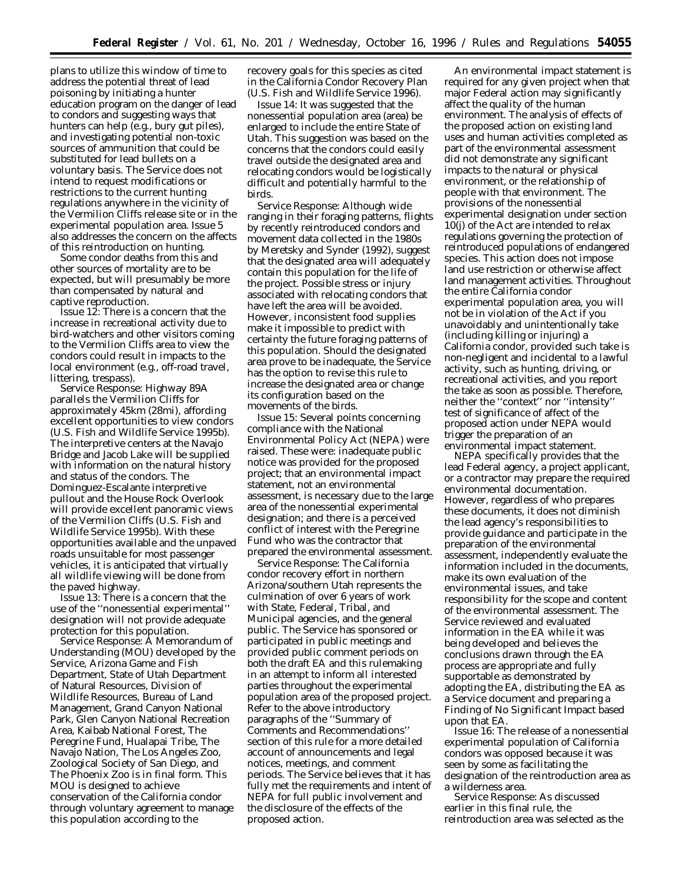plans to utilize this window of time to address the potential threat of lead poisoning by initiating a hunter education program on the danger of lead to condors and suggesting ways that hunters can help (e.g., bury gut piles), and investigating potential non-toxic sources of ammunition that could be substituted for lead bullets on a voluntary basis. The Service does not intend to request modifications or restrictions to the current hunting regulations anywhere in the vicinity of the Vermilion Cliffs release site or in the experimental population area. Issue 5 also addresses the concern on the affects of this reintroduction on hunting.

Some condor deaths from this and other sources of mortality are to be expected, but will presumably be more than compensated by natural and captive reproduction.

*Issue 12:* There is a concern that the increase in recreational activity due to bird-watchers and other visitors coming to the Vermilion Cliffs area to view the condors could result in impacts to the local environment (e.g., off-road travel, littering, trespass).

*Service Response:* Highway 89A parallels the Vermilion Cliffs for approximately 45km (28mi), affording excellent opportunities to view condors (U.S. Fish and Wildlife Service 1995b). The interpretive centers at the Navajo Bridge and Jacob Lake will be supplied with information on the natural history and status of the condors. The Dominguez-Escalante interpretive pullout and the House Rock Overlook will provide excellent panoramic views of the Vermilion Cliffs (U.S. Fish and Wildlife Service 1995b). With these opportunities available and the unpaved roads unsuitable for most passenger vehicles, it is anticipated that virtually all wildlife viewing will be done from the paved highway.

*Issue 13:* There is a concern that the use of the ''nonessential experimental'' designation will not provide adequate protection for this population.

*Service Response:* A Memorandum of Understanding (MOU) developed by the Service, Arizona Game and Fish Department, State of Utah Department of Natural Resources, Division of Wildlife Resources, Bureau of Land Management, Grand Canyon National Park, Glen Canyon National Recreation Area, Kaibab National Forest, The Peregrine Fund, Hualapai Tribe, The Navajo Nation, The Los Angeles Zoo, Zoological Society of San Diego, and The Phoenix Zoo is in final form. This MOU is designed to achieve conservation of the California condor through voluntary agreement to manage this population according to the

recovery goals for this species as cited in the California Condor Recovery Plan (U.S. Fish and Wildlife Service 1996).

*Issue 14:* It was suggested that the nonessential population area (area) be enlarged to include the entire State of Utah. This suggestion was based on the concerns that the condors could easily travel outside the designated area and relocating condors would be logistically difficult and potentially harmful to the birds.

*Service Response:* Although wide ranging in their foraging patterns, flights by recently reintroduced condors and movement data collected in the 1980s by Meretsky and Synder (1992), suggest that the designated area will adequately contain this population for the life of the project. Possible stress or injury associated with relocating condors that have left the area will be avoided. However, inconsistent food supplies make it impossible to predict with certainty the future foraging patterns of this population. Should the designated area prove to be inadequate, the Service has the option to revise this rule to increase the designated area or change its configuration based on the movements of the birds.

*Issue 15:* Several points concerning compliance with the National Environmental Policy Act (NEPA) were raised. These were: inadequate public notice was provided for the proposed project; that an environmental impact statement, not an environmental assessment, is necessary due to the large area of the nonessential experimental designation; and there is a perceived conflict of interest with the Peregrine Fund who was the contractor that prepared the environmental assessment.

*Service Response:* The California condor recovery effort in northern Arizona/southern Utah represents the culmination of over 6 years of work with State, Federal, Tribal, and Municipal agencies, and the general public. The Service has sponsored or participated in public meetings and provided public comment periods on both the draft EA and this rulemaking in an attempt to inform all interested parties throughout the experimental population area of the proposed project. Refer to the above introductory paragraphs of the ''Summary of Comments and Recommendations'' section of this rule for a more detailed account of announcements and legal notices, meetings, and comment periods. The Service believes that it has fully met the requirements and intent of NEPA for full public involvement and the disclosure of the effects of the proposed action.

An environmental impact statement is required for any given project when that major Federal action may significantly affect the quality of the human environment. The analysis of effects of the proposed action on existing land uses and human activities completed as part of the environmental assessment did not demonstrate any significant impacts to the natural or physical environment, or the relationship of people with that environment. The provisions of the nonessential experimental designation under section 10(j) of the Act are intended to relax regulations governing the protection of reintroduced populations of endangered species. This action does not impose land use restriction or otherwise affect land management activities. Throughout the entire California condor experimental population area, you will not be in violation of the Act if you unavoidably and unintentionally take (including killing or injuring) a California condor, provided such take is non-negligent and incidental to a lawful activity, such as hunting, driving, or recreational activities, and you report the take as soon as possible. Therefore, neither the ''context'' nor ''intensity'' test of significance of affect of the proposed action under NEPA would trigger the preparation of an environmental impact statement.

NEPA specifically provides that the lead Federal agency, a project applicant, or a contractor may prepare the required environmental documentation. However, regardless of who prepares these documents, it does not diminish the lead agency's responsibilities to provide guidance and participate in the preparation of the environmental assessment, independently evaluate the information included in the documents, make its own evaluation of the environmental issues, and take responsibility for the scope and content of the environmental assessment. The Service reviewed and evaluated information in the EA while it was being developed and believes the conclusions drawn through the EA process are appropriate and fully supportable as demonstrated by adopting the EA, distributing the EA as a Service document and preparing a Finding of No Significant Impact based upon that EA.

*Issue 16:* The release of a nonessential experimental population of California condors was opposed because it was seen by some as facilitating the designation of the reintroduction area as a wilderness area.

*Service Response:* As discussed earlier in this final rule, the reintroduction area was selected as the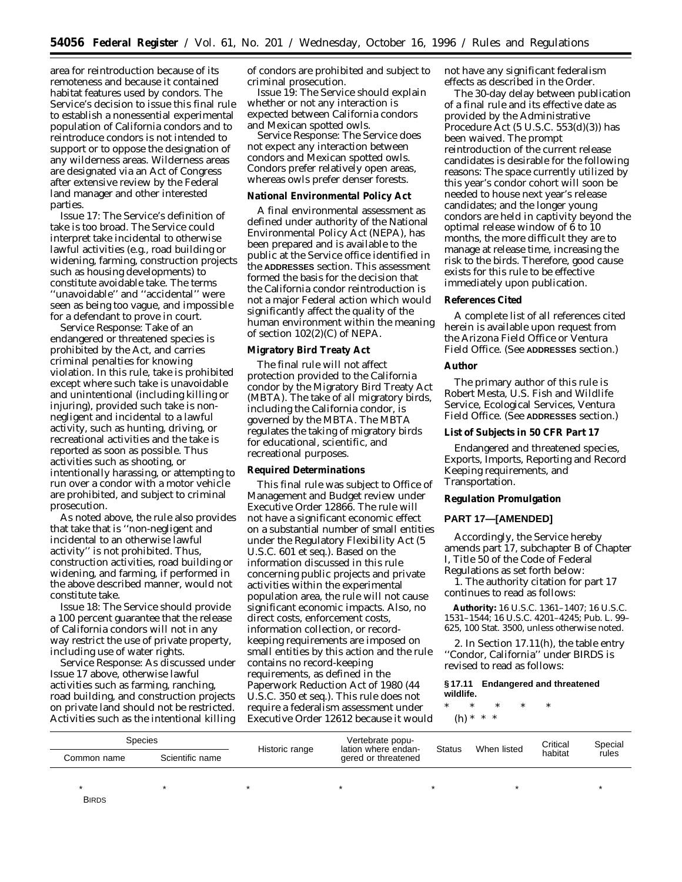area for reintroduction because of its remoteness and because it contained habitat features used by condors. The Service's decision to issue this final rule to establish a nonessential experimental population of California condors and to reintroduce condors is not intended to support or to oppose the designation of any wilderness areas. Wilderness areas are designated via an Act of Congress after extensive review by the Federal land manager and other interested parties.

*Issue 17:* The Service's definition of take is too broad. The Service could interpret take incidental to otherwise lawful activities (e.g., road building or widening, farming, construction projects such as housing developments) to constitute avoidable take. The terms 'unavoidable" and "accidental" were seen as being too vague, and impossible for a defendant to prove in court.

*Service Response:* Take of an endangered or threatened species is prohibited by the Act, and carries criminal penalties for knowing violation. In this rule, take is prohibited except where such take is unavoidable and unintentional (including killing or injuring), provided such take is nonnegligent and incidental to a lawful activity, such as hunting, driving, or recreational activities and the take is reported as soon as possible. Thus activities such as shooting, or intentionally harassing, or attempting to run over a condor with a motor vehicle are prohibited, and subject to criminal prosecution.

As noted above, the rule also provides that take that is ''non-negligent and incidental to an otherwise lawful activity'' is not prohibited. Thus, construction activities, road building or widening, and farming, if performed in the above described manner, would not constitute take.

*Issue 18:* The Service should provide a 100 percent guarantee that the release of California condors will not in any way restrict the use of private property, including use of water rights.

*Service Response:* As discussed under Issue 17 above, otherwise lawful activities such as farming, ranching, road building, and construction projects on private land should not be restricted. Activities such as the intentional killing of condors are prohibited and subject to criminal prosecution.

*Issue 19:* The Service should explain whether or not any interaction is expected between California condors and Mexican spotted owls.

*Service Response:* The Service does not expect any interaction between condors and Mexican spotted owls. Condors prefer relatively open areas, whereas owls prefer denser forests.

## **National Environmental Policy Act**

A final environmental assessment as defined under authority of the National Environmental Policy Act (NEPA), has been prepared and is available to the public at the Service office identified in the **ADDRESSES** section. This assessment formed the basis for the decision that the California condor reintroduction is not a major Federal action which would significantly affect the quality of the human environment within the meaning of section 102(2)(C) of NEPA.

## **Migratory Bird Treaty Act**

The final rule will not affect protection provided to the California condor by the Migratory Bird Treaty Act (MBTA). The take of all migratory birds, including the California condor, is governed by the MBTA. The MBTA regulates the taking of migratory birds for educational, scientific, and recreational purposes.

## **Required Determinations**

This final rule was subject to Office of Management and Budget review under Executive Order 12866. The rule will not have a significant economic effect on a substantial number of small entities under the Regulatory Flexibility Act (5 U.S.C. 601 *et seq.*). Based on the information discussed in this rule concerning public projects and private activities within the experimental population area, the rule will not cause significant economic impacts. Also, no direct costs, enforcement costs, information collection, or recordkeeping requirements are imposed on small entities by this action and the rule contains no record-keeping requirements, as defined in the Paperwork Reduction Act of 1980 (44 U.S.C. 350 *et seq.*). This rule does not require a federalism assessment under Executive Order 12612 because it would not have any significant federalism effects as described in the Order.

The 30-day delay between publication of a final rule and its effective date as provided by the Administrative Procedure Act (5 U.S.C. 553(d)(3)) has been waived. The prompt reintroduction of the current release candidates is desirable for the following reasons: The space currently utilized by this year's condor cohort will soon be needed to house next year's release candidates; and the longer young condors are held in captivity beyond the optimal release window of 6 to 10 months, the more difficult they are to manage at release time, increasing the risk to the birds. Therefore, good cause exists for this rule to be effective immediately upon publication.

# **References Cited**

A complete list of all references cited herein is available upon request from the Arizona Field Office or Ventura Field Office. (See **ADDRESSES** section.)

## **Author**

The primary author of this rule is Robert Mesta, U.S. Fish and Wildlife Service, Ecological Services, Ventura Field Office. (See **ADDRESSES** section.)

## **List of Subjects in 50 CFR Part 17**

Endangered and threatened species, Exports, Imports, Reporting and Record Keeping requirements, and Transportation.

## **Regulation Promulgation**

## **PART 17—[AMENDED]**

Accordingly, the Service hereby amends part 17, subchapter B of Chapter I, Title 50 of the Code of Federal Regulations as set forth below:

1. The authority citation for part 17 continues to read as follows:

**Authority:** 16 U.S.C. 1361–1407; 16 U.S.C. 1531–1544; 16 U.S.C. 4201–4245; Pub. L. 99– 625, 100 Stat. 3500, unless otherwise noted.

2. In Section 17.11(h), the table entry ''Condor, California'' under BIRDS is revised to read as follows:

# **§ 17.11 Endangered and threatened wildlife.**

\* \* \* \* \* (h) \* \* \*

| <b>Species</b> |                 |                | Vertebrate popu-                           | Status | When listed | Critical | Special |
|----------------|-----------------|----------------|--------------------------------------------|--------|-------------|----------|---------|
| Common name    | Scientific name | Historic range | lation where endan-<br>gered or threatened |        |             | habitat  | rules   |
|                |                 |                |                                            |        |             |          |         |
| <b>BIRDS</b>   |                 |                |                                            |        |             |          |         |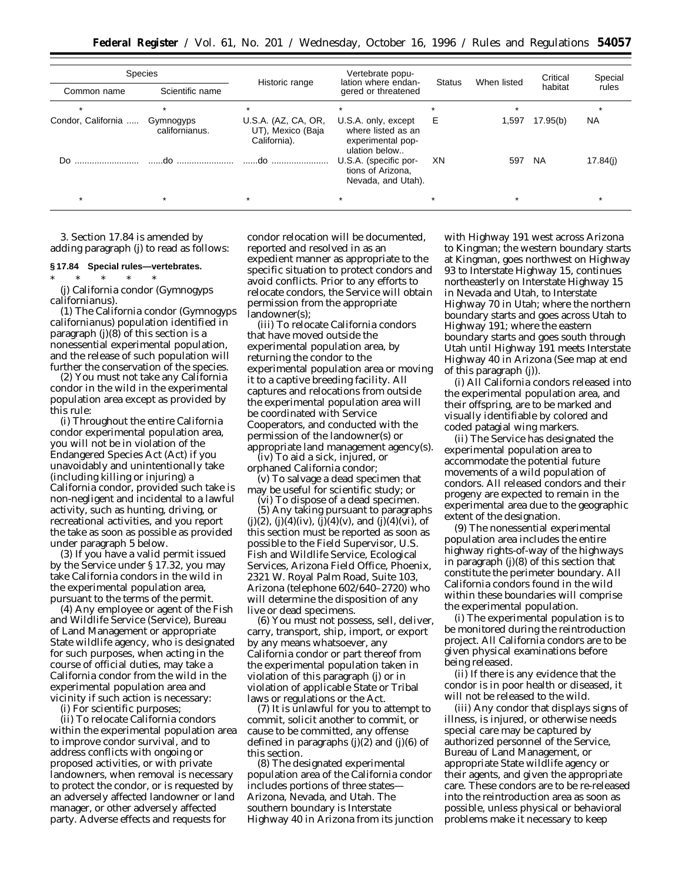| <b>Species</b>     |                             |                                                          | Vertebrate popu-                                                                |               |             | Critical  | Special   |
|--------------------|-----------------------------|----------------------------------------------------------|---------------------------------------------------------------------------------|---------------|-------------|-----------|-----------|
| Common name        | Scientific name             | Historic range                                           | lation where endan-<br>gered or threatened                                      | <b>Status</b> | When listed | habitat   | rules     |
|                    |                             | $\star$                                                  | $\ast$                                                                          | $\star$       | $\star$     |           |           |
| Condor, California | Gymnogyps<br>californianus. | U.S.A. (AZ, CA, OR,<br>UT), Mexico (Baja<br>California). | U.S.A. only, except<br>where listed as an<br>experimental pop-<br>ulation below | Е             | 1,597       | 17.95(b)  | <b>NA</b> |
|                    |                             | do                                                       | U.S.A. (specific por-<br>tions of Arizona,<br>Nevada, and Utah).                | XN            | 597         | <b>NA</b> | 17.84(i)  |
|                    |                             | $\star$                                                  | $\star$                                                                         |               |             |           |           |

3. Section 17.84 is amended by adding paragraph (j) to read as follows:

#### **§ 17.84 Special rules—vertebrates.**

\* \* \* \* \* (j) California condor (*Gymnogyps californianus*).

(1) The California condor (*Gymnogyps californianus*) population identified in paragraph (j)(8) of this section is a nonessential experimental population, and the release of such population will further the conservation of the species.

(2) You must not take any California condor in the wild in the experimental population area except as provided by this rule:

(i) Throughout the entire California condor experimental population area, you will not be in violation of the Endangered Species Act (Act) if you unavoidably and unintentionally take (including killing or injuring) a California condor, provided such take is non-negligent and incidental to a lawful activity, such as hunting, driving, or recreational activities, and you report the take as soon as possible as provided under paragraph 5 below.

(3) If you have a valid permit issued by the Service under § 17.32, you may take California condors in the wild in the experimental population area, pursuant to the terms of the permit.

(4) Any employee or agent of the Fish and Wildlife Service (Service), Bureau of Land Management or appropriate State wildlife agency, who is designated for such purposes, when acting in the course of official duties, may take a California condor from the wild in the experimental population area and vicinity if such action is necessary:

(i) For scientific purposes;

(ii) To relocate California condors within the experimental population area to improve condor survival, and to address conflicts with ongoing or proposed activities, or with private landowners, when removal is necessary to protect the condor, or is requested by an adversely affected landowner or land manager, or other adversely affected party. Adverse effects and requests for

condor relocation will be documented, reported and resolved in as an expedient manner as appropriate to the specific situation to protect condors and avoid conflicts. Prior to any efforts to relocate condors, the Service will obtain permission from the appropriate landowner(s);

(iii) To relocate California condors that have moved outside the experimental population area, by returning the condor to the experimental population area or moving it to a captive breeding facility. All captures and relocations from outside the experimental population area will be coordinated with Service Cooperators, and conducted with the permission of the landowner(s) or appropriate land management agency(s).

(iv) To aid a sick, injured, or orphaned California condor;

(v) To salvage a dead specimen that may be useful for scientific study; or

(vi) To dispose of a dead specimen.

(5) Any taking pursuant to paragraphs  $(j)(2)$ ,  $(j)(4)(iv)$ ,  $(j)(4)(v)$ , and  $(j)(4)(vi)$ , of this section must be reported as soon as possible to the Field Supervisor, U.S. Fish and Wildlife Service, Ecological Services, Arizona Field Office, Phoenix, 2321 W. Royal Palm Road, Suite 103, Arizona (telephone 602/640–2720) who will determine the disposition of any live or dead specimens.

(6) You must not possess, sell, deliver, carry, transport, ship, import, or export by any means whatsoever, any California condor or part thereof from the experimental population taken in violation of this paragraph (j) or in violation of applicable State or Tribal laws or regulations or the Act.

(7) It is unlawful for you to attempt to commit, solicit another to commit, or cause to be committed, any offense defined in paragraphs (j)(2) and (j)(6) of this section.

(8) The designated experimental population area of the California condor includes portions of three states— Arizona, Nevada, and Utah. The southern boundary is Interstate Highway 40 in Arizona from its junction with Highway 191 west across Arizona to Kingman; the western boundary starts at Kingman, goes northwest on Highway 93 to Interstate Highway 15, continues northeasterly on Interstate Highway 15 in Nevada and Utah, to Interstate Highway 70 in Utah; where the northern boundary starts and goes across Utah to Highway 191; where the eastern boundary starts and goes south through Utah until Highway 191 meets Interstate Highway 40 in Arizona (See map at end of this paragraph (j)).

(i) All California condors released into the experimental population area, and their offspring, are to be marked and visually identifiable by colored and coded patagial wing markers.

(ii) The Service has designated the experimental population area to accommodate the potential future movements of a wild population of condors. All released condors and their progeny are expected to remain in the experimental area due to the geographic extent of the designation.

(9) The nonessential experimental population area includes the entire highway rights-of-way of the highways in paragraph (j)(8) of this section that constitute the perimeter boundary. All California condors found in the wild within these boundaries will comprise the experimental population.

(i) The experimental population is to be monitored during the reintroduction project. All California condors are to be given physical examinations before being released.

(ii) If there is any evidence that the condor is in poor health or diseased, it will not be released to the wild.

(iii) Any condor that displays signs of illness, is injured, or otherwise needs special care may be captured by authorized personnel of the Service, Bureau of Land Management, or appropriate State wildlife agency or their agents, and given the appropriate care. These condors are to be re-released into the reintroduction area as soon as possible, unless physical or behavioral problems make it necessary to keep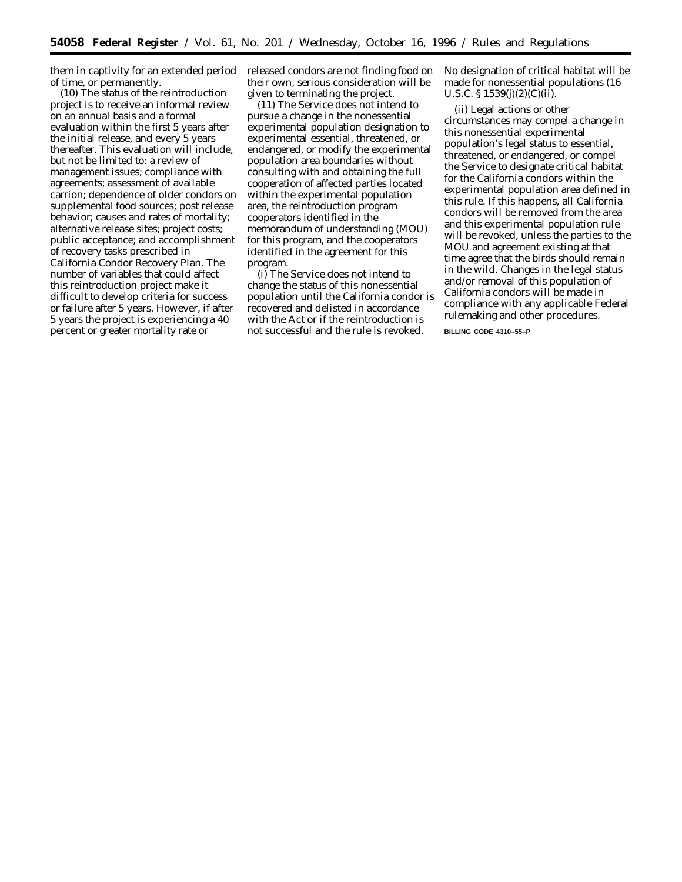them in captivity for an extended period of time, or permanently.

(10) The status of the reintroduction project is to receive an informal review on an annual basis and a formal evaluation within the first 5 years after the initial release, and every 5 years thereafter. This evaluation will include, but not be limited to: a review of management issues; compliance with agreements; assessment of available carrion; dependence of older condors on supplemental food sources; post release behavior; causes and rates of mortality; alternative release sites; project costs; public acceptance; and accomplishment of recovery tasks prescribed in California Condor Recovery Plan. The number of variables that could affect this reintroduction project make it difficult to develop criteria for success or failure after 5 years. However, if after 5 years the project is experiencing a 40 percent or greater mortality rate or

released condors are not finding food on their own, serious consideration will be given to terminating the project.

(11) The Service does not intend to pursue a change in the nonessential experimental population designation to experimental essential, threatened, or endangered, or modify the experimental population area boundaries without consulting with and obtaining the full cooperation of affected parties located within the experimental population area, the reintroduction program cooperators identified in the memorandum of understanding (MOU) for this program, and the cooperators identified in the agreement for this program.

(i) The Service does not intend to change the status of this nonessential population until the California condor is recovered and delisted in accordance with the Act or if the reintroduction is not successful and the rule is revoked.

No designation of critical habitat will be made for nonessential populations (16 U.S.C.  $\S 1539(j)(2)(C)(ii)$ .

(ii) Legal actions or other circumstances may compel a change in this nonessential experimental population's legal status to essential, threatened, or endangered, or compel the Service to designate critical habitat for the California condors within the experimental population area defined in this rule. If this happens, all California condors will be removed from the area and this experimental population rule will be revoked, unless the parties to the MOU and agreement existing at that time agree that the birds should remain in the wild. Changes in the legal status and/or removal of this population of California condors will be made in compliance with any applicable Federal rulemaking and other procedures.

**BILLING CODE 4310–55–P**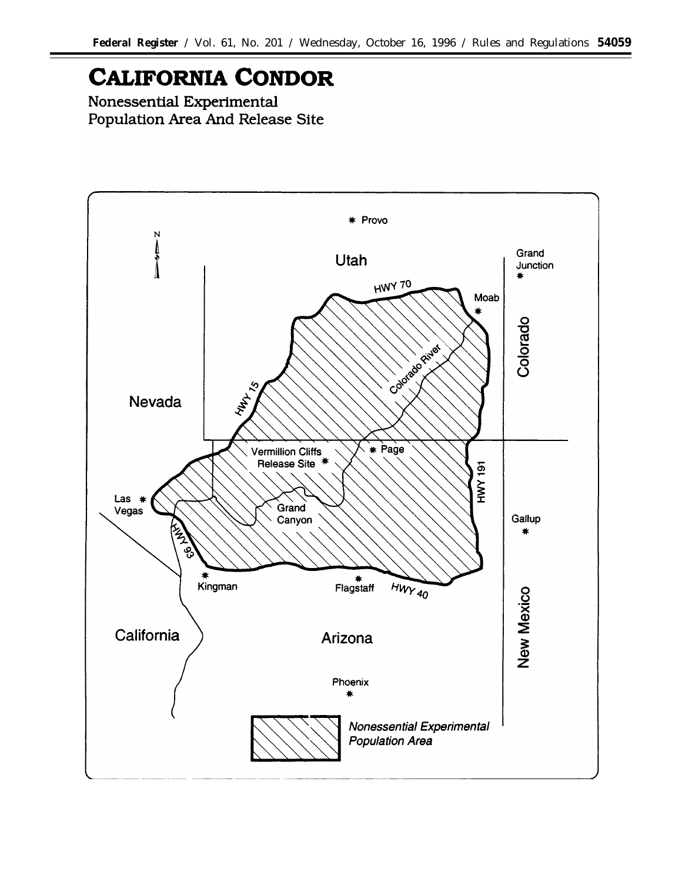# **CALIFORNIA CONDOR**

Nonessential Experimental Population Area And Release Site